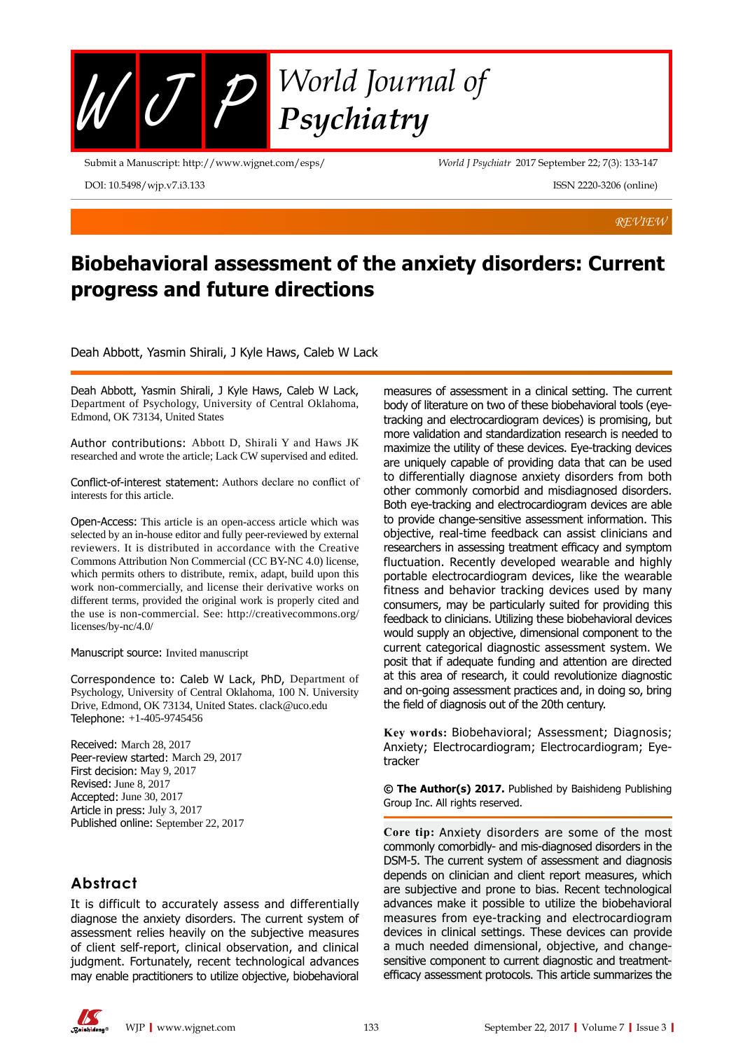

Submit a Manuscript: http://www.wjgnet.com/esps/

DOI: 10.5498/wjp.v7.i3.133

*World J Psychiatr* 2017 September 22; 7(3): 133-147

ISSN 2220-3206 (online)

*REVIEW*

# **Biobehavioral assessment of the anxiety disorders: Current progress and future directions**

Deah Abbott, Yasmin Shirali, J Kyle Haws, Caleb W Lack

Deah Abbott, Yasmin Shirali, J Kyle Haws, Caleb W Lack, Department of Psychology, University of Central Oklahoma, Edmond, OK 73134, United States

Author contributions: Abbott D, Shirali Y and Haws JK researched and wrote the article; Lack CW supervised and edited.

Conflict-of-interest statement: Authors declare no conflict of interests for this article.

Open-Access: This article is an open-access article which was selected by an in-house editor and fully peer-reviewed by external reviewers. It is distributed in accordance with the Creative Commons Attribution Non Commercial (CC BY-NC 4.0) license, which permits others to distribute, remix, adapt, build upon this work non-commercially, and license their derivative works on different terms, provided the original work is properly cited and the use is non-commercial. See: http://creativecommons.org/ licenses/by-nc/4.0/

#### Manuscript source: Invited manuscript

Correspondence to: Caleb W Lack, PhD, Department of Psychology, University of Central Oklahoma, 100 N. University Drive, Edmond, OK 73134, United States. clack@uco.edu Telephone: +1-405-9745456

Received: March 28, 2017 Peer-review started: March 29, 2017 First decision: May 9, 2017 Revised: June 8, 2017 Accepted: June 30, 2017 Article in press: July 3, 2017 Published online: September 22, 2017

# **Abstract**

It is difficult to accurately assess and differentially diagnose the anxiety disorders. The current system of assessment relies heavily on the subjective measures of client self-report, clinical observation, and clinical judgment. Fortunately, recent technological advances may enable practitioners to utilize objective, biobehavioral measures of assessment in a clinical setting. The current body of literature on two of these biobehavioral tools (eyetracking and electrocardiogram devices) is promising, but more validation and standardization research is needed to maximize the utility of these devices. Eye-tracking devices are uniquely capable of providing data that can be used to differentially diagnose anxiety disorders from both other commonly comorbid and misdiagnosed disorders. Both eye-tracking and electrocardiogram devices are able to provide change-sensitive assessment information. This objective, real-time feedback can assist clinicians and researchers in assessing treatment efficacy and symptom fluctuation. Recently developed wearable and highly portable electrocardiogram devices, like the wearable fitness and behavior tracking devices used by many consumers, may be particularly suited for providing this feedback to clinicians. Utilizing these biobehavioral devices would supply an objective, dimensional component to the current categorical diagnostic assessment system. We posit that if adequate funding and attention are directed at this area of research, it could revolutionize diagnostic and on-going assessment practices and, in doing so, bring the field of diagnosis out of the 20th century.

**Key words:** Biobehavioral; Assessment; Diagnosis; Anxiety; Electrocardiogram; Electrocardiogram; Eyetracker

**© The Author(s) 2017.** Published by Baishideng Publishing Group Inc. All rights reserved.

**Core tip:** Anxiety disorders are some of the most commonly comorbidly- and mis-diagnosed disorders in the DSM-5. The current system of assessment and diagnosis depends on clinician and client report measures, which are subjective and prone to bias. Recent technological advances make it possible to utilize the biobehavioral measures from eye-tracking and electrocardiogram devices in clinical settings. These devices can provide a much needed dimensional, objective, and changesensitive component to current diagnostic and treatmentefficacy assessment protocols. This article summarizes the

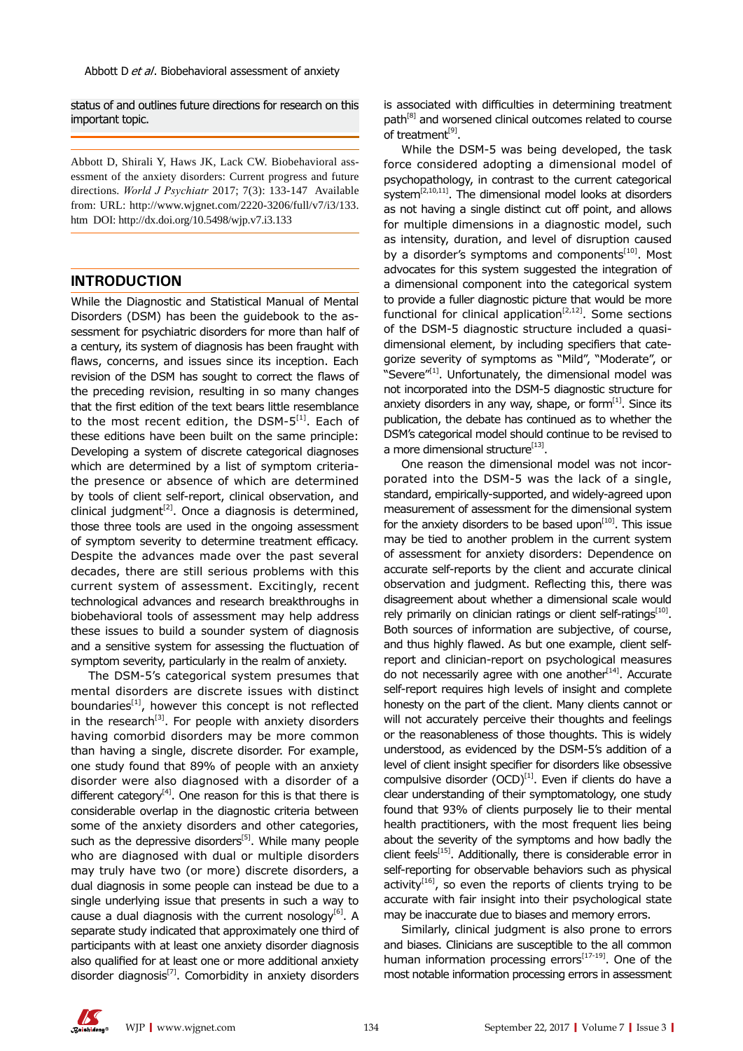status of and outlines future directions for research on this important topic.

Abbott D, Shirali Y, Haws JK, Lack CW. Biobehavioral assessment of the anxiety disorders: Current progress and future directions. *World J Psychiatr* 2017; 7(3): 133-147 Available from: URL: http://www.wjgnet.com/2220-3206/full/v7/i3/133. htm DOI: http://dx.doi.org/10.5498/wjp.v7.i3.133

## **INTRODUCTION**

While the Diagnostic and Statistical Manual of Mental Disorders (DSM) has been the guidebook to the assessment for psychiatric disorders for more than half of a century, its system of diagnosis has been fraught with flaws, concerns, and issues since its inception. Each revision of the DSM has sought to correct the flaws of the preceding revision, resulting in so many changes that the first edition of the text bears little resemblance to the most recent edition, the DSM- $5^{[1]}$ . Each of these editions have been built on the same principle: Developing a system of discrete categorical diagnoses which are determined by a list of symptom criteriathe presence or absence of which are determined by tools of client self-report, clinical observation, and clinical judgment<sup>[2]</sup>. Once a diagnosis is determined, those three tools are used in the ongoing assessment of symptom severity to determine treatment efficacy. Despite the advances made over the past several decades, there are still serious problems with this current system of assessment. Excitingly, recent technological advances and research breakthroughs in biobehavioral tools of assessment may help address these issues to build a sounder system of diagnosis and a sensitive system for assessing the fluctuation of symptom severity, particularly in the realm of anxiety.

The DSM-5's categorical system presumes that mental disorders are discrete issues with distinct boundaries $[1]$ , however this concept is not reflected in the research<sup>[3]</sup>. For people with anxiety disorders having comorbid disorders may be more common than having a single, discrete disorder. For example, one study found that 89% of people with an anxiety disorder were also diagnosed with a disorder of a different category<sup>[4]</sup>. One reason for this is that there is considerable overlap in the diagnostic criteria between some of the anxiety disorders and other categories, such as the depressive disorders $[5]$ . While many people who are diagnosed with dual or multiple disorders may truly have two (or more) discrete disorders, a dual diagnosis in some people can instead be due to a single underlying issue that presents in such a way to cause a dual diagnosis with the current nosology $[6]$ . A separate study indicated that approximately one third of participants with at least one anxiety disorder diagnosis also qualified for at least one or more additional anxiety disorder diagnosis $^{[7]}$ . Comorbidity in anxiety disorders

is associated with difficulties in determining treatment path<sup>[8]</sup> and worsened clinical outcomes related to course of treatment<sup>[9]</sup>.

While the DSM-5 was being developed, the task force considered adopting a dimensional model of psychopathology, in contrast to the current categorical system<sup>[2,10,11]</sup>. The dimensional model looks at disorders as not having a single distinct cut off point, and allows for multiple dimensions in a diagnostic model, such as intensity, duration, and level of disruption caused by a disorder's symptoms and components<sup>[10]</sup>. Most advocates for this system suggested the integration of a dimensional component into the categorical system to provide a fuller diagnostic picture that would be more functional for clinical application<sup>[2,12]</sup>. Some sections of the DSM-5 diagnostic structure included a quasidimensional element, by including specifiers that categorize severity of symptoms as "Mild", "Moderate", or "Severe<sup>"[1]</sup>. Unfortunately, the dimensional model was not incorporated into the DSM-5 diagnostic structure for anxiety disorders in any way, shape, or form $^{[1]}$ . Since its publication, the debate has continued as to whether the DSM's categorical model should continue to be revised to a more dimensional structure $^{[13]}$ .

One reason the dimensional model was not incorporated into the DSM-5 was the lack of a single, standard, empirically-supported, and widely-agreed upon measurement of assessment for the dimensional system for the anxiety disorders to be based upon $[10]$ . This issue may be tied to another problem in the current system of assessment for anxiety disorders: Dependence on accurate self-reports by the client and accurate clinical observation and judgment. Reflecting this, there was disagreement about whether a dimensional scale would rely primarily on clinician ratings or client self-ratings<sup>[10]</sup>. Both sources of information are subjective, of course, and thus highly flawed. As but one example, client selfreport and clinician-report on psychological measures do not necessarily agree with one another $[14]$ . Accurate self-report requires high levels of insight and complete honesty on the part of the client. Many clients cannot or will not accurately perceive their thoughts and feelings or the reasonableness of those thoughts. This is widely understood, as evidenced by the DSM-5's addition of a level of client insight specifier for disorders like obsessive compulsive disorder  $(OCD)^{[1]}$ . Even if clients do have a clear understanding of their symptomatology, one study found that 93% of clients purposely lie to their mental health practitioners, with the most frequent lies being about the severity of the symptoms and how badly the client feels $^{[15]}$ . Additionally, there is considerable error in self-reporting for observable behaviors such as physical activity $[16]$ , so even the reports of clients trying to be accurate with fair insight into their psychological state may be inaccurate due to biases and memory errors.

Similarly, clinical judgment is also prone to errors and biases. Clinicians are susceptible to the all common human information processing errors $[17-19]$ . One of the most notable information processing errors in assessment

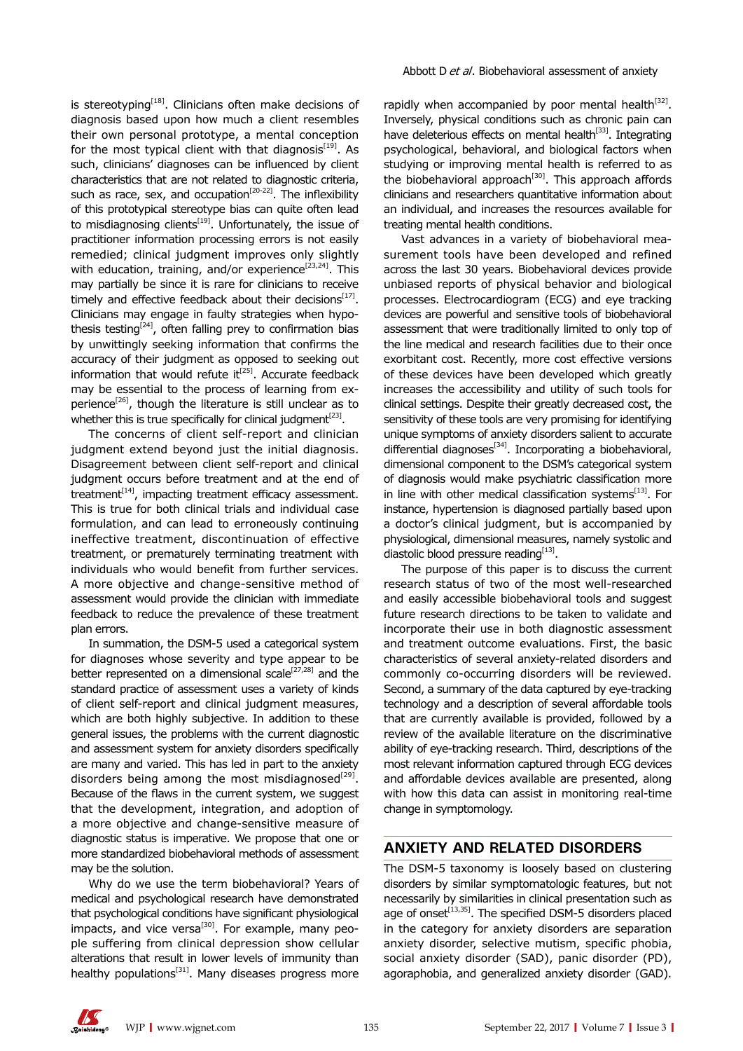is stereotyping<sup>[18]</sup>. Clinicians often make decisions of diagnosis based upon how much a client resembles their own personal prototype, a mental conception for the most typical client with that diagnosis<sup>[19]</sup>. As such, clinicians' diagnoses can be influenced by client characteristics that are not related to diagnostic criteria, such as race, sex, and occupation<sup>[20-22]</sup>. The inflexibility of this prototypical stereotype bias can quite often lead to misdiagnosing clients<sup>[19]</sup>. Unfortunately, the issue of practitioner information processing errors is not easily remedied; clinical judgment improves only slightly with education, training, and/or experience<sup>[23,24]</sup>. This may partially be since it is rare for clinicians to receive timely and effective feedback about their decisions $[17]$ . Clinicians may engage in faulty strategies when hypothesis testing $[24]$ , often falling prey to confirmation bias by unwittingly seeking information that confirms the accuracy of their judgment as opposed to seeking out information that would refute  $it^{[25]}$ . Accurate feedback may be essential to the process of learning from experience<sup>[26]</sup>, though the literature is still unclear as to whether this is true specifically for clinical judgment<sup>[23]</sup>.

The concerns of client self-report and clinician judgment extend beyond just the initial diagnosis. Disagreement between client self-report and clinical judgment occurs before treatment and at the end of treatment $[14]$ , impacting treatment efficacy assessment. This is true for both clinical trials and individual case formulation, and can lead to erroneously continuing ineffective treatment, discontinuation of effective treatment, or prematurely terminating treatment with individuals who would benefit from further services. A more objective and change-sensitive method of assessment would provide the clinician with immediate feedback to reduce the prevalence of these treatment plan errors.

In summation, the DSM-5 used a categorical system for diagnoses whose severity and type appear to be better represented on a dimensional scale<sup>[27,28]</sup> and the standard practice of assessment uses a variety of kinds of client self-report and clinical judgment measures, which are both highly subjective. In addition to these general issues, the problems with the current diagnostic and assessment system for anxiety disorders specifically are many and varied. This has led in part to the anxiety disorders being among the most misdiagnosed $^{[29]}$ . Because of the flaws in the current system, we suggest that the development, integration, and adoption of a more objective and change-sensitive measure of diagnostic status is imperative. We propose that one or more standardized biobehavioral methods of assessment may be the solution.

Why do we use the term biobehavioral? Years of medical and psychological research have demonstrated that psychological conditions have significant physiological impacts, and vice versa<sup>[30]</sup>. For example, many people suffering from clinical depression show cellular alterations that result in lower levels of immunity than healthy populations<sup>[31]</sup>. Many diseases progress more

rapidly when accompanied by poor mental health $[32]$ . Inversely, physical conditions such as chronic pain can have deleterious effects on mental health<sup>[33]</sup>. Integrating psychological, behavioral, and biological factors when studying or improving mental health is referred to as the biobehavioral approach $[30]$ . This approach affords clinicians and researchers quantitative information about an individual, and increases the resources available for treating mental health conditions.

Vast advances in a variety of biobehavioral measurement tools have been developed and refined across the last 30 years. Biobehavioral devices provide unbiased reports of physical behavior and biological processes. Electrocardiogram (ECG) and eye tracking devices are powerful and sensitive tools of biobehavioral assessment that were traditionally limited to only top of the line medical and research facilities due to their once exorbitant cost. Recently, more cost effective versions of these devices have been developed which greatly increases the accessibility and utility of such tools for clinical settings. Despite their greatly decreased cost, the sensitivity of these tools are very promising for identifying unique symptoms of anxiety disorders salient to accurate differential diagnoses $^{[34]}$ . Incorporating a biobehavioral, dimensional component to the DSM's categorical system of diagnosis would make psychiatric classification more in line with other medical classification systems<sup>[13]</sup>. For instance, hypertension is diagnosed partially based upon a doctor's clinical judgment, but is accompanied by physiological, dimensional measures, namely systolic and diastolic blood pressure reading<sup>[13]</sup>.

The purpose of this paper is to discuss the current research status of two of the most well-researched and easily accessible biobehavioral tools and suggest future research directions to be taken to validate and incorporate their use in both diagnostic assessment and treatment outcome evaluations. First, the basic characteristics of several anxiety-related disorders and commonly co-occurring disorders will be reviewed. Second, a summary of the data captured by eye-tracking technology and a description of several affordable tools that are currently available is provided, followed by a review of the available literature on the discriminative ability of eye-tracking research. Third, descriptions of the most relevant information captured through ECG devices and affordable devices available are presented, along with how this data can assist in monitoring real-time change in symptomology.

# **ANXIETY AND RELATED DISORDERS**

The DSM-5 taxonomy is loosely based on clustering disorders by similar symptomatologic features, but not necessarily by similarities in clinical presentation such as age of onset $^{[13,35]}$ . The specified DSM-5 disorders placed in the category for anxiety disorders are separation anxiety disorder, selective mutism, specific phobia, social anxiety disorder (SAD), panic disorder (PD), agoraphobia, and generalized anxiety disorder (GAD).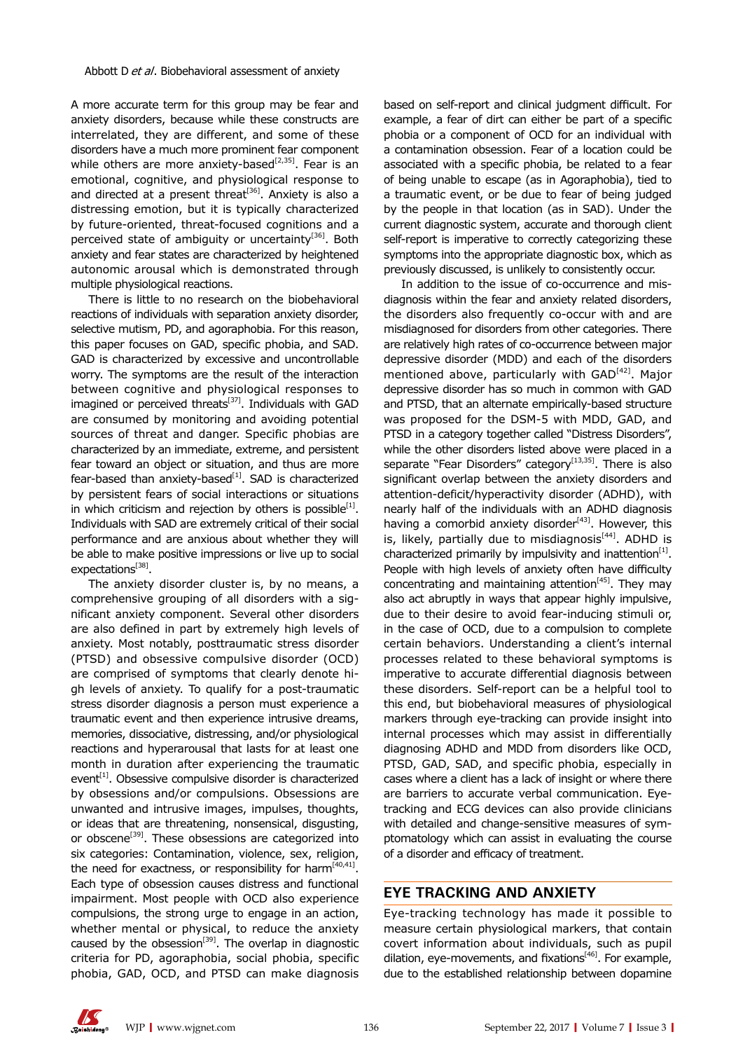A more accurate term for this group may be fear and anxiety disorders, because while these constructs are interrelated, they are different, and some of these disorders have a much more prominent fear component while others are more anxiety-based<sup>[2,35]</sup>. Fear is an emotional, cognitive, and physiological response to and directed at a present threat<sup>[36]</sup>. Anxiety is also a distressing emotion, but it is typically characterized by future-oriented, threat-focused cognitions and a perceived state of ambiguity or uncertainty<sup>[36]</sup>. Both anxiety and fear states are characterized by heightened autonomic arousal which is demonstrated through multiple physiological reactions.

There is little to no research on the biobehavioral reactions of individuals with separation anxiety disorder, selective mutism, PD, and agoraphobia. For this reason, this paper focuses on GAD, specific phobia, and SAD. GAD is characterized by excessive and uncontrollable worry. The symptoms are the result of the interaction between cognitive and physiological responses to imagined or perceived threats<sup>[37]</sup>. Individuals with GAD are consumed by monitoring and avoiding potential sources of threat and danger. Specific phobias are characterized by an immediate, extreme, and persistent fear toward an object or situation, and thus are more fear-based than anxiety-based $[1]$ . SAD is characterized by persistent fears of social interactions or situations in which criticism and rejection by others is possible $[1]$ . Individuals with SAD are extremely critical of their social performance and are anxious about whether they will be able to make positive impressions or live up to social expectations<sup>[38]</sup>.

The anxiety disorder cluster is, by no means, a comprehensive grouping of all disorders with a significant anxiety component. Several other disorders are also defined in part by extremely high levels of anxiety. Most notably, posttraumatic stress disorder (PTSD) and obsessive compulsive disorder (OCD) are comprised of symptoms that clearly denote high levels of anxiety. To qualify for a post-traumatic stress disorder diagnosis a person must experience a traumatic event and then experience intrusive dreams, memories, dissociative, distressing, and/or physiological reactions and hyperarousal that lasts for at least one month in duration after experiencing the traumatic event<sup>[1]</sup>. Obsessive compulsive disorder is characterized by obsessions and/or compulsions. Obsessions are unwanted and intrusive images, impulses, thoughts, or ideas that are threatening, nonsensical, disgusting, or obscene<sup>[39]</sup>. These obsessions are categorized into six categories: Contamination, violence, sex, religion, the need for exactness, or responsibility for harm<sup> $[40,41]$ </sup>. Each type of obsession causes distress and functional impairment. Most people with OCD also experience compulsions, the strong urge to engage in an action, whether mental or physical, to reduce the anxiety caused by the obsession $[39]$ . The overlap in diagnostic criteria for PD, agoraphobia, social phobia, specific phobia, GAD, OCD, and PTSD can make diagnosis based on self-report and clinical judgment difficult. For example, a fear of dirt can either be part of a specific phobia or a component of OCD for an individual with a contamination obsession. Fear of a location could be associated with a specific phobia, be related to a fear of being unable to escape (as in Agoraphobia), tied to a traumatic event, or be due to fear of being judged by the people in that location (as in SAD). Under the current diagnostic system, accurate and thorough client self-report is imperative to correctly categorizing these symptoms into the appropriate diagnostic box, which as previously discussed, is unlikely to consistently occur.

In addition to the issue of co-occurrence and misdiagnosis within the fear and anxiety related disorders, the disorders also frequently co-occur with and are misdiagnosed for disorders from other categories. There are relatively high rates of co-occurrence between major depressive disorder (MDD) and each of the disorders mentioned above, particularly with  $GAD<sup>[42]</sup>$ . Major depressive disorder has so much in common with GAD and PTSD, that an alternate empirically-based structure was proposed for the DSM-5 with MDD, GAD, and PTSD in a category together called "Distress Disorders", while the other disorders listed above were placed in a separate "Fear Disorders" category<sup>[13,35]</sup>. There is also significant overlap between the anxiety disorders and attention-deficit/hyperactivity disorder (ADHD), with nearly half of the individuals with an ADHD diagnosis having a comorbid anxiety disorder $[43]$ . However, this is, likely, partially due to misdiagnosis<sup>[44]</sup>. ADHD is characterized primarily by impulsivity and inattention $[1]$ . People with high levels of anxiety often have difficulty concentrating and maintaining attention $[45]$ . They may also act abruptly in ways that appear highly impulsive, due to their desire to avoid fear-inducing stimuli or, in the case of OCD, due to a compulsion to complete certain behaviors. Understanding a client's internal processes related to these behavioral symptoms is imperative to accurate differential diagnosis between these disorders. Self-report can be a helpful tool to this end, but biobehavioral measures of physiological markers through eye-tracking can provide insight into internal processes which may assist in differentially diagnosing ADHD and MDD from disorders like OCD, PTSD, GAD, SAD, and specific phobia, especially in cases where a client has a lack of insight or where there are barriers to accurate verbal communication. Eyetracking and ECG devices can also provide clinicians with detailed and change-sensitive measures of symptomatology which can assist in evaluating the course of a disorder and efficacy of treatment.

# **EYE TRACKING AND ANXIETY**

Eye-tracking technology has made it possible to measure certain physiological markers, that contain covert information about individuals, such as pupil dilation, eye-movements, and fixations<sup>[46]</sup>. For example, due to the established relationship between dopamine

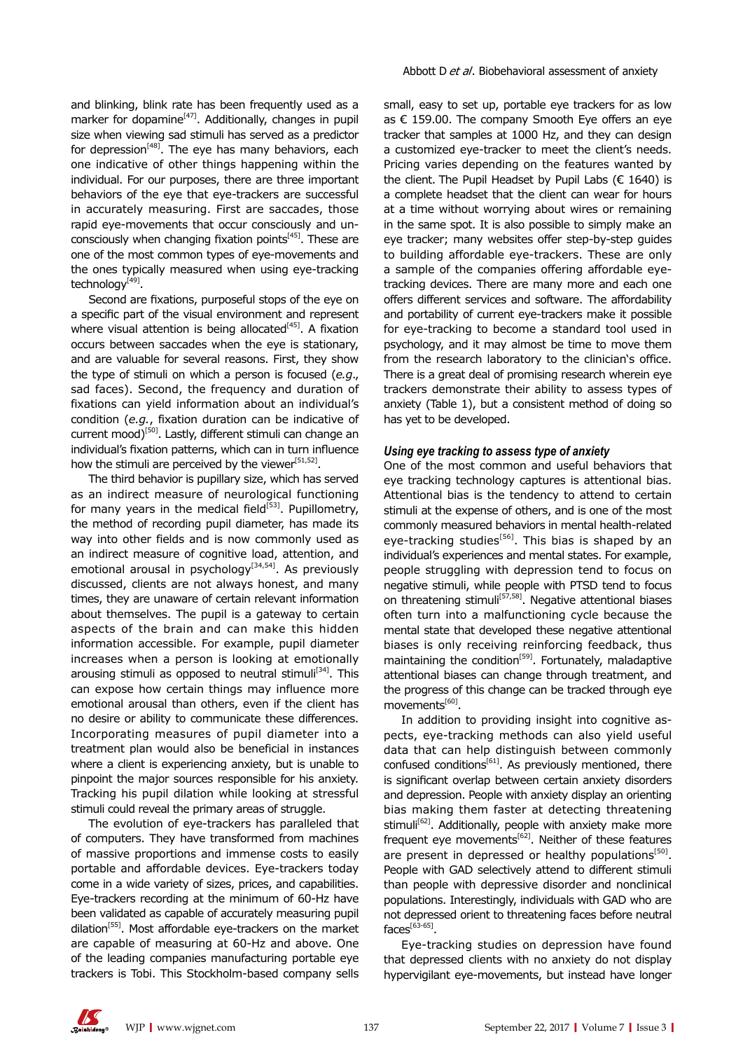and blinking, blink rate has been frequently used as a marker for dopamine $[47]$ . Additionally, changes in pupil size when viewing sad stimuli has served as a predictor for depression $[48]$ . The eye has many behaviors, each one indicative of other things happening within the individual. For our purposes, there are three important behaviors of the eye that eye-trackers are successful in accurately measuring. First are saccades, those rapid eye-movements that occur consciously and unconsciously when changing fixation points<sup>[45]</sup>. These are one of the most common types of eye-movements and the ones typically measured when using eye-tracking technology[49].

Second are fixations, purposeful stops of the eye on a specific part of the visual environment and represent where visual attention is being allocated $[45]$ . A fixation occurs between saccades when the eye is stationary, and are valuable for several reasons. First, they show the type of stimuli on which a person is focused (*e.g*., sad faces). Second, the frequency and duration of fixations can yield information about an individual's condition (*e.g.*, fixation duration can be indicative of current mood)[50]. Lastly, different stimuli can change an individual's fixation patterns, which can in turn influence how the stimuli are perceived by the viewer<sup>[51,52]</sup>.

The third behavior is pupillary size, which has served as an indirect measure of neurological functioning for many years in the medical field $[53]$ . Pupillometry, the method of recording pupil diameter, has made its way into other fields and is now commonly used as an indirect measure of cognitive load, attention, and emotional arousal in psychology<sup>[34,54]</sup>. As previously discussed, clients are not always honest, and many times, they are unaware of certain relevant information about themselves. The pupil is a gateway to certain aspects of the brain and can make this hidden information accessible. For example, pupil diameter increases when a person is looking at emotionally arousing stimuli as opposed to neutral stimuli<sup>[34]</sup>. This can expose how certain things may influence more emotional arousal than others, even if the client has no desire or ability to communicate these differences. Incorporating measures of pupil diameter into a treatment plan would also be beneficial in instances where a client is experiencing anxiety, but is unable to pinpoint the major sources responsible for his anxiety. Tracking his pupil dilation while looking at stressful stimuli could reveal the primary areas of struggle.

The evolution of eye-trackers has paralleled that of computers. They have transformed from machines of massive proportions and immense costs to easily portable and affordable devices. Eye-trackers today come in a wide variety of sizes, prices, and capabilities. Eye-trackers recording at the minimum of 60-Hz have been validated as capable of accurately measuring pupil dilation<sup>[55]</sup>. Most affordable eye-trackers on the market are capable of measuring at 60-Hz and above. One of the leading companies manufacturing portable eye trackers is Tobi. This Stockholm-based company sells

small, easy to set up, portable eye trackers for as low as € 159.00. The company Smooth Eye offers an eye tracker that samples at 1000 Hz, and they can design a customized eye-tracker to meet the client's needs. Pricing varies depending on the features wanted by the client. The Pupil Headset by Pupil Labs ( $\epsilon$  1640) is a complete headset that the client can wear for hours at a time without worrying about wires or remaining in the same spot. It is also possible to simply make an eye tracker; many websites offer step-by-step guides to building affordable eye-trackers. These are only a sample of the companies offering affordable eyetracking devices. There are many more and each one offers different services and software. The affordability and portability of current eye-trackers make it possible for eye-tracking to become a standard tool used in psychology, and it may almost be time to move them from the research laboratory to the clinician's office. There is a great deal of promising research wherein eye trackers demonstrate their ability to assess types of anxiety (Table 1), but a consistent method of doing so has yet to be developed.

#### *Using eye tracking to assess type of anxiety*

One of the most common and useful behaviors that eye tracking technology captures is attentional bias. Attentional bias is the tendency to attend to certain stimuli at the expense of others, and is one of the most commonly measured behaviors in mental health-related eye-tracking studies<sup>[56]</sup>. This bias is shaped by an individual's experiences and mental states. For example, people struggling with depression tend to focus on negative stimuli, while people with PTSD tend to focus on threatening stimuli<sup>[57,58]</sup>. Negative attentional biases often turn into a malfunctioning cycle because the mental state that developed these negative attentional biases is only receiving reinforcing feedback, thus maintaining the condition<sup>[59]</sup>. Fortunately, maladaptive attentional biases can change through treatment, and the progress of this change can be tracked through eye movements<sup>[60]</sup>.

In addition to providing insight into cognitive aspects, eye-tracking methods can also yield useful data that can help distinguish between commonly confused conditions $[61]$ . As previously mentioned, there is significant overlap between certain anxiety disorders and depression. People with anxiety display an orienting bias making them faster at detecting threatening stimuli<sup>[62]</sup>. Additionally, people with anxiety make more frequent eye movements<sup>[62]</sup>. Neither of these features are present in depressed or healthy populations<sup>[50]</sup>. People with GAD selectively attend to different stimuli than people with depressive disorder and nonclinical populations. Interestingly, individuals with GAD who are not depressed orient to threatening faces before neutral  $faces^{[63-65]}$ .

Eye-tracking studies on depression have found that depressed clients with no anxiety do not display hypervigilant eye-movements, but instead have longer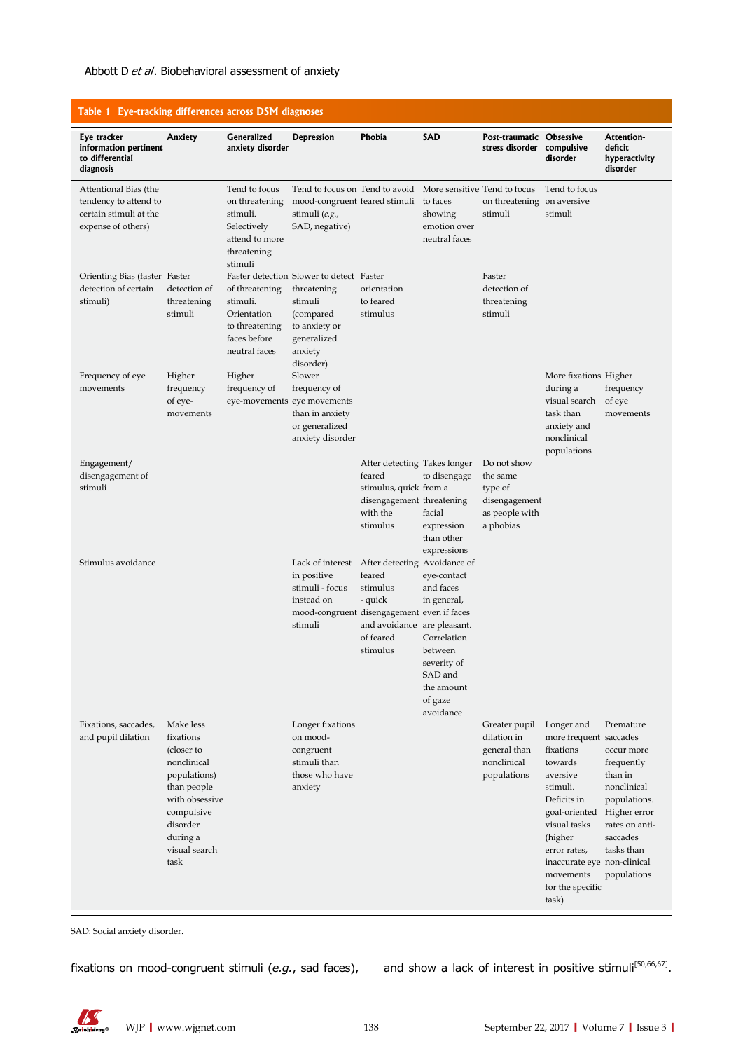## Abbott D et al. Biobehavioral assessment of anxiety

| Table 1 Eye-tracking differences across DSM diagnoses                                          |                                                                                                                                                                     |                                                                                                        |                                                                                                                                         |                                                                                                                       |                                                                                                                                   |                                                                                    |                                                                                                                                                                                                                                                       |                                                                                                                                            |
|------------------------------------------------------------------------------------------------|---------------------------------------------------------------------------------------------------------------------------------------------------------------------|--------------------------------------------------------------------------------------------------------|-----------------------------------------------------------------------------------------------------------------------------------------|-----------------------------------------------------------------------------------------------------------------------|-----------------------------------------------------------------------------------------------------------------------------------|------------------------------------------------------------------------------------|-------------------------------------------------------------------------------------------------------------------------------------------------------------------------------------------------------------------------------------------------------|--------------------------------------------------------------------------------------------------------------------------------------------|
| Eye tracker<br>information pertinent<br>to differential<br>diagnosis                           | Anxiety                                                                                                                                                             | Generalized<br>anxiety disorder                                                                        | <b>Depression</b>                                                                                                                       | Phobia                                                                                                                | <b>SAD</b>                                                                                                                        | Post-traumatic Obsessive<br>stress disorder compulsive                             | disorder                                                                                                                                                                                                                                              | Attention-<br>deficit<br>hyperactivity<br>disorder                                                                                         |
| Attentional Bias (the<br>tendency to attend to<br>certain stimuli at the<br>expense of others) |                                                                                                                                                                     | Tend to focus<br>on threatening<br>stimuli.<br>Selectively<br>attend to more<br>threatening<br>stimuli | Tend to focus on Tend to avoid More sensitive Tend to focus<br>mood-congruent feared stimuli<br>stimuli $(e.g.,$<br>SAD, negative)      |                                                                                                                       | to faces<br>showing<br>emotion over<br>neutral faces                                                                              | on threatening on aversive<br>stimuli                                              | Tend to focus<br>stimuli                                                                                                                                                                                                                              |                                                                                                                                            |
| Orienting Bias (faster Faster<br>detection of certain<br>stimuli)                              | detection of<br>threatening<br>stimuli                                                                                                                              | of threatening<br>stimuli.<br>Orientation<br>to threatening<br>faces before<br>neutral faces           | Faster detection Slower to detect Faster<br>threatening<br>stimuli<br>(compared<br>to anxiety or<br>generalized<br>anxiety<br>disorder) | orientation<br>to feared<br>stimulus                                                                                  |                                                                                                                                   | Faster<br>detection of<br>threatening<br>stimuli                                   |                                                                                                                                                                                                                                                       |                                                                                                                                            |
| Frequency of eye<br>movements                                                                  | Higher<br>frequency<br>of eye-<br>movements                                                                                                                         | Higher<br>frequency of                                                                                 | Slower<br>frequency of<br>eye-movements eye movements<br>than in anxiety<br>or generalized<br>anxiety disorder                          |                                                                                                                       |                                                                                                                                   |                                                                                    | More fixations Higher<br>during a<br>visual search<br>task than<br>anxiety and<br>nonclinical<br>populations                                                                                                                                          | frequency<br>of eye<br>movements                                                                                                           |
| Engagement/<br>disengagement of<br>stimuli                                                     |                                                                                                                                                                     |                                                                                                        |                                                                                                                                         | After detecting Takes longer<br>feared<br>stimulus, quick from a<br>disengagement threatening<br>with the<br>stimulus | to disengage<br>facial<br>expression<br>than other<br>expressions                                                                 | Do not show<br>the same<br>type of<br>disengagement<br>as people with<br>a phobias |                                                                                                                                                                                                                                                       |                                                                                                                                            |
| Stimulus avoidance                                                                             |                                                                                                                                                                     |                                                                                                        | Lack of interest<br>in positive<br>stimuli - focus<br>instead on<br>mood-congruent disengagement even if faces<br>stimuli               | After detecting Avoidance of<br>feared<br>stimulus<br>- quick<br>and avoidance are pleasant.<br>of feared<br>stimulus | eye-contact<br>and faces<br>in general,<br>Correlation<br>between<br>severity of<br>SAD and<br>the amount<br>of gaze<br>avoidance |                                                                                    |                                                                                                                                                                                                                                                       |                                                                                                                                            |
| Fixations, saccades,<br>and pupil dilation                                                     | Make less<br>fixations<br>(closer to<br>nonclinical<br>populations)<br>than people<br>with obsessive<br>compulsive<br>disorder<br>during a<br>visual search<br>task |                                                                                                        | Longer fixations<br>on mood-<br>congruent<br>stimuli than<br>those who have<br>anxiety                                                  |                                                                                                                       |                                                                                                                                   | Greater pupil<br>dilation in<br>general than<br>nonclinical<br>populations         | Longer and<br>more frequent saccades<br>fixations<br>towards<br>aversive<br>stimuli.<br>Deficits in<br>goal-oriented Higher error<br>visual tasks<br>(higher<br>error rates,<br>inaccurate eye non-clinical<br>movements<br>for the specific<br>task) | Premature<br>occur more<br>frequently<br>than in<br>nonclinical<br>populations.<br>rates on anti-<br>saccades<br>tasks than<br>populations |
|                                                                                                |                                                                                                                                                                     |                                                                                                        |                                                                                                                                         |                                                                                                                       |                                                                                                                                   |                                                                                    |                                                                                                                                                                                                                                                       |                                                                                                                                            |

SAD: Social anxiety disorder.

fixations on mood-congruent stimuli (e.g., sad faces), and show a lack of interest in positive stimuli<sup>[50,66,67]</sup>.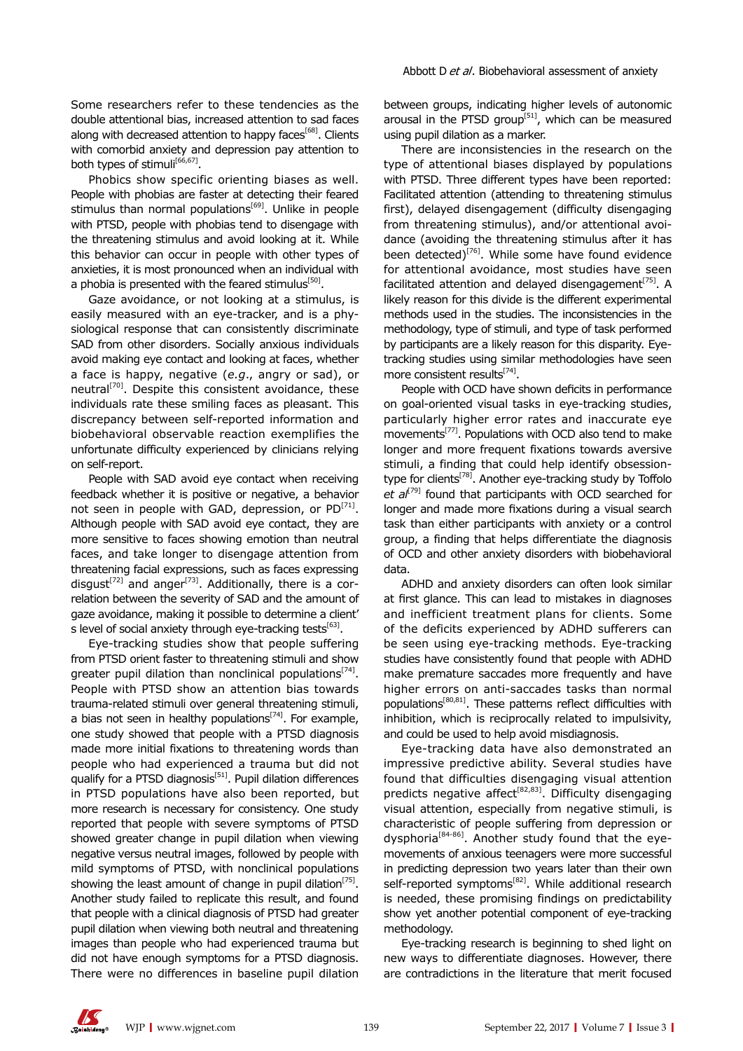Some researchers refer to these tendencies as the double attentional bias, increased attention to sad faces along with decreased attention to happy faces<sup>[68]</sup>. Clients with comorbid anxiety and depression pay attention to both types of stimuli<sup>[66,67]</sup>.

Phobics show specific orienting biases as well. People with phobias are faster at detecting their feared stimulus than normal populations<sup>[69]</sup>. Unlike in people with PTSD, people with phobias tend to disengage with the threatening stimulus and avoid looking at it. While this behavior can occur in people with other types of anxieties, it is most pronounced when an individual with a phobia is presented with the feared stimulus $[50]$ .

Gaze avoidance, or not looking at a stimulus, is easily measured with an eye-tracker, and is a physiological response that can consistently discriminate SAD from other disorders. Socially anxious individuals avoid making eye contact and looking at faces, whether a face is happy, negative (*e.g*., angry or sad), or neutral<sup>[70]</sup>. Despite this consistent avoidance, these individuals rate these smiling faces as pleasant. This discrepancy between self-reported information and biobehavioral observable reaction exemplifies the unfortunate difficulty experienced by clinicians relying on self-report.

People with SAD avoid eye contact when receiving feedback whether it is positive or negative, a behavior not seen in people with GAD, depression, or  $PD^{[71]}$ . Although people with SAD avoid eye contact, they are more sensitive to faces showing emotion than neutral faces, and take longer to disengage attention from threatening facial expressions, such as faces expressing disgust<sup>[72]</sup> and anger<sup>[73]</sup>. Additionally, there is a correlation between the severity of SAD and the amount of gaze avoidance, making it possible to determine a client' s level of social anxiety through eye-tracking tests $[63]$ .

Eye-tracking studies show that people suffering from PTSD orient faster to threatening stimuli and show greater pupil dilation than nonclinical populations<sup>[74]</sup>. People with PTSD show an attention bias towards trauma-related stimuli over general threatening stimuli, a bias not seen in healthy populations<sup>[74]</sup>. For example, one study showed that people with a PTSD diagnosis made more initial fixations to threatening words than people who had experienced a trauma but did not qualify for a PTSD diagnosis<sup>[51]</sup>. Pupil dilation differences in PTSD populations have also been reported, but more research is necessary for consistency. One study reported that people with severe symptoms of PTSD showed greater change in pupil dilation when viewing negative versus neutral images, followed by people with mild symptoms of PTSD, with nonclinical populations showing the least amount of change in pupil dilation<sup>[75]</sup>. Another study failed to replicate this result, and found that people with a clinical diagnosis of PTSD had greater pupil dilation when viewing both neutral and threatening images than people who had experienced trauma but did not have enough symptoms for a PTSD diagnosis. There were no differences in baseline pupil dilation

between groups, indicating higher levels of autonomic arousal in the PTSD group<sup>[51]</sup>, which can be measured using pupil dilation as a marker.

There are inconsistencies in the research on the type of attentional biases displayed by populations with PTSD. Three different types have been reported: Facilitated attention (attending to threatening stimulus first), delayed disengagement (difficulty disengaging from threatening stimulus), and/or attentional avoidance (avoiding the threatening stimulus after it has been detected)<sup>[76]</sup>. While some have found evidence for attentional avoidance, most studies have seen facilitated attention and delayed disengagement<sup>[75]</sup>. A likely reason for this divide is the different experimental methods used in the studies. The inconsistencies in the methodology, type of stimuli, and type of task performed by participants are a likely reason for this disparity. Eyetracking studies using similar methodologies have seen more consistent results $^{[74]}$ .

People with OCD have shown deficits in performance on goal-oriented visual tasks in eye-tracking studies, particularly higher error rates and inaccurate eye movements[77]. Populations with OCD also tend to make longer and more frequent fixations towards aversive stimuli, a finding that could help identify obsessiontype for clients<sup>[78]</sup>. Another eye-tracking study by Toffolo *et al*[79] found that participants with OCD searched for longer and made more fixations during a visual search task than either participants with anxiety or a control group, a finding that helps differentiate the diagnosis of OCD and other anxiety disorders with biobehavioral data.

ADHD and anxiety disorders can often look similar at first glance. This can lead to mistakes in diagnoses and inefficient treatment plans for clients. Some of the deficits experienced by ADHD sufferers can be seen using eye-tracking methods. Eye-tracking studies have consistently found that people with ADHD make premature saccades more frequently and have higher errors on anti-saccades tasks than normal populations[80,81]. These patterns reflect difficulties with inhibition, which is reciprocally related to impulsivity, and could be used to help avoid misdiagnosis.

Eye-tracking data have also demonstrated an impressive predictive ability. Several studies have found that difficulties disengaging visual attention predicts negative affect<sup>[82,83]</sup>. Difficulty disengaging visual attention, especially from negative stimuli, is characteristic of people suffering from depression or dysphoria<sup>[84-86]</sup>. Another study found that the eyemovements of anxious teenagers were more successful in predicting depression two years later than their own self-reported symptoms<sup>[82]</sup>. While additional research is needed, these promising findings on predictability show yet another potential component of eye-tracking methodology.

Eye-tracking research is beginning to shed light on new ways to differentiate diagnoses. However, there are contradictions in the literature that merit focused

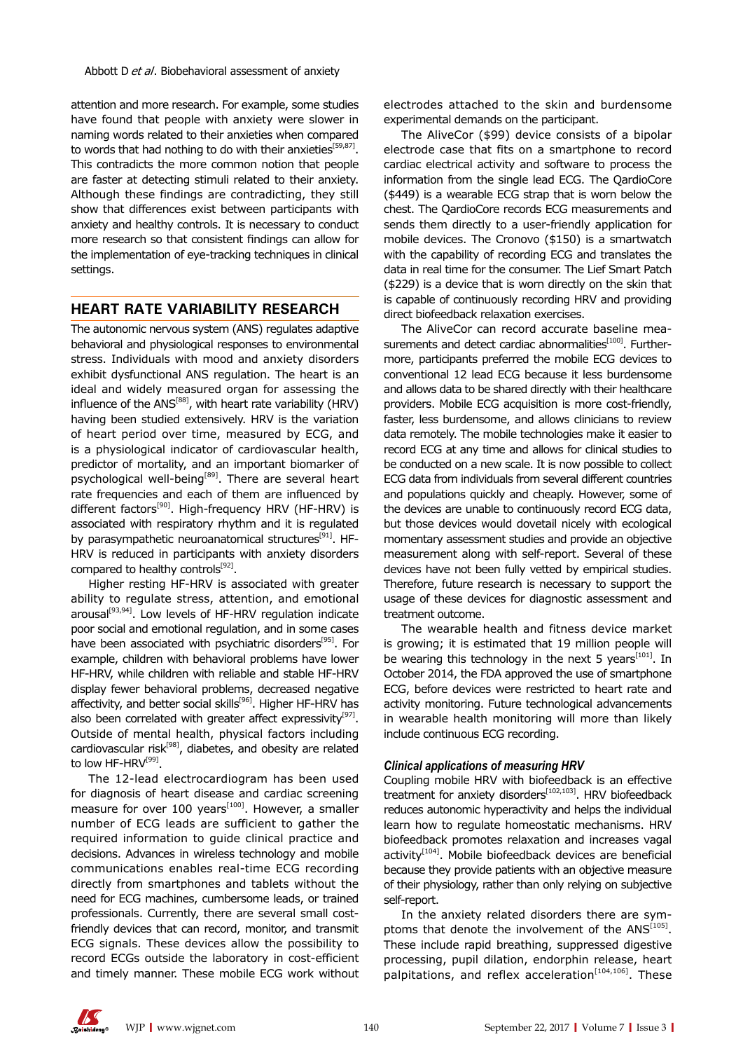attention and more research. For example, some studies have found that people with anxiety were slower in naming words related to their anxieties when compared to words that had nothing to do with their anxieties<sup>[59,87]</sup>. This contradicts the more common notion that people are faster at detecting stimuli related to their anxiety. Although these findings are contradicting, they still show that differences exist between participants with anxiety and healthy controls. It is necessary to conduct more research so that consistent findings can allow for the implementation of eye-tracking techniques in clinical settings.

## **HEART RATE VARIABILITY RESEARCH**

The autonomic nervous system (ANS) regulates adaptive behavioral and physiological responses to environmental stress. Individuals with mood and anxiety disorders exhibit dysfunctional ANS regulation. The heart is an ideal and widely measured organ for assessing the influence of the ANS[88], with heart rate variability (HRV) having been studied extensively. HRV is the variation of heart period over time, measured by ECG, and is a physiological indicator of cardiovascular health, predictor of mortality, and an important biomarker of psychological well-being<sup>[89]</sup>. There are several heart rate frequencies and each of them are influenced by different factors<sup>[90]</sup>. High-frequency HRV (HF-HRV) is associated with respiratory rhythm and it is regulated by parasympathetic neuroanatomical structures<sup>[91]</sup>. HF-HRV is reduced in participants with anxiety disorders compared to healthy controls $[92]$ .

Higher resting HF-HRV is associated with greater ability to regulate stress, attention, and emotional arousal<sup>[93,94]</sup>. Low levels of HF-HRV regulation indicate poor social and emotional regulation, and in some cases have been associated with psychiatric disorders<sup>[95]</sup>. For example, children with behavioral problems have lower HF-HRV, while children with reliable and stable HF-HRV display fewer behavioral problems, decreased negative affectivity, and better social skills<sup>[96]</sup>. Higher HF-HRV has also been correlated with greater affect expressivity $[97]$ . Outside of mental health, physical factors including cardiovascular risk<sup>[98]</sup>, diabetes, and obesity are related to low HF-HRV $^{[99]}$ .

The 12-lead electrocardiogram has been used for diagnosis of heart disease and cardiac screening measure for over 100 years<sup> $[100]$ </sup>. However, a smaller number of ECG leads are sufficient to gather the required information to guide clinical practice and decisions. Advances in wireless technology and mobile communications enables real-time ECG recording directly from smartphones and tablets without the need for ECG machines, cumbersome leads, or trained professionals. Currently, there are several small costfriendly devices that can record, monitor, and transmit ECG signals. These devices allow the possibility to record ECGs outside the laboratory in cost-efficient and timely manner. These mobile ECG work without electrodes attached to the skin and burdensome experimental demands on the participant.

The AliveCor (\$99) device consists of a bipolar electrode case that fits on a smartphone to record cardiac electrical activity and software to process the information from the single lead ECG. The QardioCore (\$449) is a wearable ECG strap that is worn below the chest. The QardioCore records ECG measurements and sends them directly to a user-friendly application for mobile devices. The Cronovo (\$150) is a smartwatch with the capability of recording ECG and translates the data in real time for the consumer. The Lief Smart Patch (\$229) is a device that is worn directly on the skin that is capable of continuously recording HRV and providing direct biofeedback relaxation exercises.

The AliveCor can record accurate baseline measurements and detect cardiac abnormalities<sup>[100]</sup>. Furthermore, participants preferred the mobile ECG devices to conventional 12 lead ECG because it less burdensome and allows data to be shared directly with their healthcare providers. Mobile ECG acquisition is more cost-friendly, faster, less burdensome, and allows clinicians to review data remotely. The mobile technologies make it easier to record ECG at any time and allows for clinical studies to be conducted on a new scale. It is now possible to collect ECG data from individuals from several different countries and populations quickly and cheaply. However, some of the devices are unable to continuously record ECG data, but those devices would dovetail nicely with ecological momentary assessment studies and provide an objective measurement along with self-report. Several of these devices have not been fully vetted by empirical studies. Therefore, future research is necessary to support the usage of these devices for diagnostic assessment and treatment outcome.

The wearable health and fitness device market is growing; it is estimated that 19 million people will be wearing this technology in the next 5 years $[101]$ . In October 2014, the FDA approved the use of smartphone ECG, before devices were restricted to heart rate and activity monitoring. Future technological advancements in wearable health monitoring will more than likely include continuous ECG recording.

#### *Clinical applications of measuring HRV*

Coupling mobile HRV with biofeedback is an effective treatment for anxiety disorders<sup>[102,103]</sup>. HRV biofeedback reduces autonomic hyperactivity and helps the individual learn how to regulate homeostatic mechanisms. HRV biofeedback promotes relaxation and increases vagal  $\alpha$ ctivity<sup>[104]</sup>. Mobile biofeedback devices are beneficial because they provide patients with an objective measure of their physiology, rather than only relying on subjective self-report.

In the anxiety related disorders there are symptoms that denote the involvement of the ANS<sup>[105]</sup>. These include rapid breathing, suppressed digestive processing, pupil dilation, endorphin release, heart palpitations, and reflex acceleration<sup>[104,106]</sup>. These

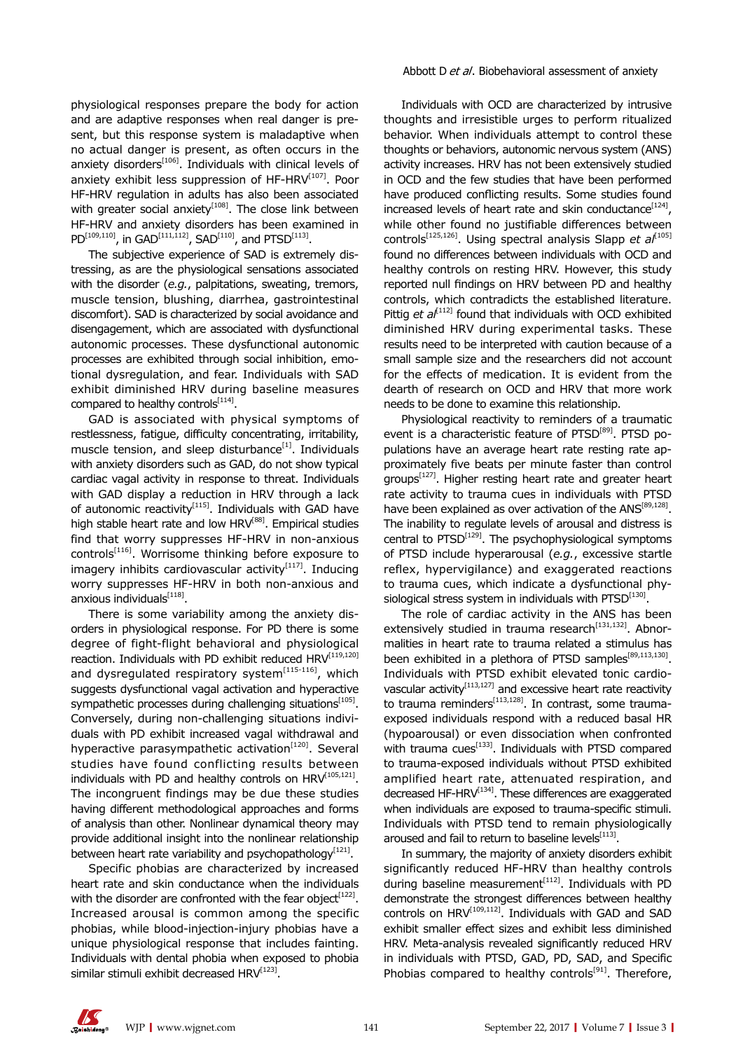physiological responses prepare the body for action and are adaptive responses when real danger is present, but this response system is maladaptive when no actual danger is present, as often occurs in the anxiety disorders<sup>[106]</sup>. Individuals with clinical levels of anxiety exhibit less suppression of  $HF-HRV^{[107]}$ . Poor HF-HRV regulation in adults has also been associated with greater social anxiety<sup>[108]</sup>. The close link between HF-HRV and anxiety disorders has been examined in  $PD^{[109,110]}$ , in GAD<sup>[111,112]</sup>, SAD<sup>[110]</sup>, and PTSD<sup>[113]</sup>.

The subjective experience of SAD is extremely distressing, as are the physiological sensations associated with the disorder (*e.g.*, palpitations, sweating, tremors, muscle tension, blushing, diarrhea, gastrointestinal discomfort). SAD is characterized by social avoidance and disengagement, which are associated with dysfunctional autonomic processes. These dysfunctional autonomic processes are exhibited through social inhibition, emotional dysregulation, and fear. Individuals with SAD exhibit diminished HRV during baseline measures compared to healthy controls $[114]$ .

GAD is associated with physical symptoms of restlessness, fatigue, difficulty concentrating, irritability, muscle tension, and sleep disturbance $[1]$ . Individuals with anxiety disorders such as GAD, do not show typical cardiac vagal activity in response to threat. Individuals with GAD display a reduction in HRV through a lack of autonomic reactivity $[115]$ . Individuals with GAD have high stable heart rate and low HRV<sup>[88]</sup>. Empirical studies find that worry suppresses HF-HRV in non-anxious controls[116]. Worrisome thinking before exposure to imagery inhibits cardiovascular activity $[117]$ . Inducing worry suppresses HF-HRV in both non-anxious and anxious individuals $^{[118]}$ .

There is some variability among the anxiety disorders in physiological response. For PD there is some degree of fight-flight behavioral and physiological reaction. Individuals with PD exhibit reduced HRV<sup>[119,120]</sup> and dysregulated respiratory system $^{[115-116]}$ , which suggests dysfunctional vagal activation and hyperactive sympathetic processes during challenging situations $[105]$ . Conversely, during non-challenging situations individuals with PD exhibit increased vagal withdrawal and hyperactive parasympathetic activation $[120]$ . Several studies have found conflicting results between individuals with PD and healthy controls on  $HRV^{[105,121]}$ . The incongruent findings may be due these studies having different methodological approaches and forms of analysis than other. Nonlinear dynamical theory may provide additional insight into the nonlinear relationship between heart rate variability and psychopathology<sup>[121]</sup>.

Specific phobias are characterized by increased heart rate and skin conductance when the individuals with the disorder are confronted with the fear object<sup>[122]</sup>. Increased arousal is common among the specific phobias, while blood-injection-injury phobias have a unique physiological response that includes fainting. Individuals with dental phobia when exposed to phobia similar stimuli exhibit decreased HRV<sup>[123]</sup>.

Individuals with OCD are characterized by intrusive thoughts and irresistible urges to perform ritualized behavior. When individuals attempt to control these thoughts or behaviors, autonomic nervous system (ANS) activity increases. HRV has not been extensively studied in OCD and the few studies that have been performed have produced conflicting results. Some studies found increased levels of heart rate and skin conductance $[124]$ , while other found no justifiable differences between controls<sup>[125,126]</sup>. Using spectral analysis Slapp *et al*<sup>[105]</sup> found no differences between individuals with OCD and healthy controls on resting HRV. However, this study reported null findings on HRV between PD and healthy controls, which contradicts the established literature. Pittig *et al*<sup>[112]</sup> found that individuals with OCD exhibited diminished HRV during experimental tasks. These results need to be interpreted with caution because of a small sample size and the researchers did not account for the effects of medication. It is evident from the dearth of research on OCD and HRV that more work needs to be done to examine this relationship.

Physiological reactivity to reminders of a traumatic event is a characteristic feature of PTSD<sup>[89]</sup>. PTSD populations have an average heart rate resting rate approximately five beats per minute faster than control groups<sup>[127]</sup>. Higher resting heart rate and greater heart rate activity to trauma cues in individuals with PTSD have been explained as over activation of the ANS<sup>[89,128]</sup>. The inability to regulate levels of arousal and distress is central to  $PTSD^{[129]}$ . The psychophysiological symptoms of PTSD include hyperarousal (*e.g.*, excessive startle reflex, hypervigilance) and exaggerated reactions to trauma cues, which indicate a dysfunctional physiological stress system in individuals with  $PTSD^{[130]}$ .

The role of cardiac activity in the ANS has been extensively studied in trauma research<sup>[131,132]</sup>. Abnormalities in heart rate to trauma related a stimulus has been exhibited in a plethora of PTSD samples $[89,113,130]$ . Individuals with PTSD exhibit elevated tonic cardiovascular activity<sup>[113,127]</sup> and excessive heart rate reactivity to trauma reminders $^{[113,128]}$ . In contrast, some traumaexposed individuals respond with a reduced basal HR (hypoarousal) or even dissociation when confronted with trauma cues<sup>[133]</sup>. Individuals with PTSD compared to trauma-exposed individuals without PTSD exhibited amplified heart rate, attenuated respiration, and decreased HF-HRV<sup>[134]</sup>. These differences are exaggerated when individuals are exposed to trauma-specific stimuli. Individuals with PTSD tend to remain physiologically aroused and fail to return to baseline levels $^{[113]}$ .

In summary, the majority of anxiety disorders exhibit significantly reduced HF-HRV than healthy controls during baseline measurement $[112]$ . Individuals with PD demonstrate the strongest differences between healthy controls on HRV<sup>[109,112]</sup>. Individuals with GAD and SAD exhibit smaller effect sizes and exhibit less diminished HRV. Meta-analysis revealed significantly reduced HRV in individuals with PTSD, GAD, PD, SAD, and Specific Phobias compared to healthy controls<sup>[91]</sup>. Therefore,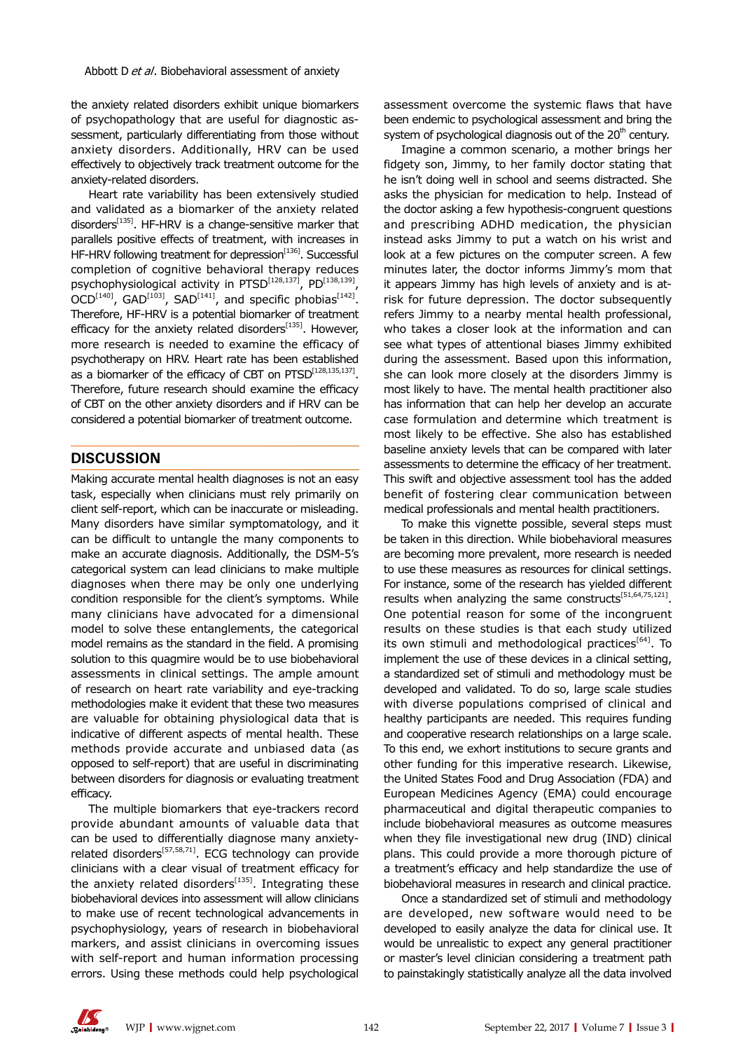the anxiety related disorders exhibit unique biomarkers of psychopathology that are useful for diagnostic assessment, particularly differentiating from those without anxiety disorders. Additionally, HRV can be used effectively to objectively track treatment outcome for the anxiety-related disorders.

Heart rate variability has been extensively studied and validated as a biomarker of the anxiety related disorders<sup>[135]</sup>. HF-HRV is a change-sensitive marker that parallels positive effects of treatment, with increases in HF-HRV following treatment for depression<sup>[136]</sup>. Successful completion of cognitive behavioral therapy reduces psychophysiological activity in PTSD<sup>[128,137]</sup>, PD<sup>[138,139]</sup>,  $OCD^{[140]}$ , GAD<sup>[103]</sup>, SAD<sup>[141]</sup>, and specific phobias<sup>[142]</sup>. Therefore, HF-HRV is a potential biomarker of treatment efficacy for the anxiety related disorders $[135]$ . However, more research is needed to examine the efficacy of psychotherapy on HRV. Heart rate has been established as a biomarker of the efficacy of CBT on PTSD<sup>[128,135,137]</sup>. Therefore, future research should examine the efficacy of CBT on the other anxiety disorders and if HRV can be considered a potential biomarker of treatment outcome.

#### **DISCUSSION**

Making accurate mental health diagnoses is not an easy task, especially when clinicians must rely primarily on client self-report, which can be inaccurate or misleading. Many disorders have similar symptomatology, and it can be difficult to untangle the many components to make an accurate diagnosis. Additionally, the DSM-5's categorical system can lead clinicians to make multiple diagnoses when there may be only one underlying condition responsible for the client's symptoms. While many clinicians have advocated for a dimensional model to solve these entanglements, the categorical model remains as the standard in the field. A promising solution to this quagmire would be to use biobehavioral assessments in clinical settings. The ample amount of research on heart rate variability and eye-tracking methodologies make it evident that these two measures are valuable for obtaining physiological data that is indicative of different aspects of mental health. These methods provide accurate and unbiased data (as opposed to self-report) that are useful in discriminating between disorders for diagnosis or evaluating treatment efficacy.

The multiple biomarkers that eye-trackers record provide abundant amounts of valuable data that can be used to differentially diagnose many anxietyrelated disorders<sup>[57,58,71]</sup>. ECG technology can provide clinicians with a clear visual of treatment efficacy for the anxiety related disorders $[135]$ . Integrating these biobehavioral devices into assessment will allow clinicians to make use of recent technological advancements in psychophysiology, years of research in biobehavioral markers, and assist clinicians in overcoming issues with self-report and human information processing errors. Using these methods could help psychological

assessment overcome the systemic flaws that have been endemic to psychological assessment and bring the system of psychological diagnosis out of the  $20<sup>th</sup>$  century.

Imagine a common scenario, a mother brings her fidgety son, Jimmy, to her family doctor stating that he isn't doing well in school and seems distracted. She asks the physician for medication to help. Instead of the doctor asking a few hypothesis-congruent questions and prescribing ADHD medication, the physician instead asks Jimmy to put a watch on his wrist and look at a few pictures on the computer screen. A few minutes later, the doctor informs Jimmy's mom that it appears Jimmy has high levels of anxiety and is atrisk for future depression. The doctor subsequently refers Jimmy to a nearby mental health professional, who takes a closer look at the information and can see what types of attentional biases Jimmy exhibited during the assessment. Based upon this information, she can look more closely at the disorders Jimmy is most likely to have. The mental health practitioner also has information that can help her develop an accurate case formulation and determine which treatment is most likely to be effective. She also has established baseline anxiety levels that can be compared with later assessments to determine the efficacy of her treatment. This swift and objective assessment tool has the added benefit of fostering clear communication between medical professionals and mental health practitioners.

To make this vignette possible, several steps must be taken in this direction. While biobehavioral measures are becoming more prevalent, more research is needed to use these measures as resources for clinical settings. For instance, some of the research has yielded different results when analyzing the same constructs<sup>[51,64,75,121]</sup>. One potential reason for some of the incongruent results on these studies is that each study utilized its own stimuli and methodological practices<sup>[64]</sup>. To implement the use of these devices in a clinical setting, a standardized set of stimuli and methodology must be developed and validated. To do so, large scale studies with diverse populations comprised of clinical and healthy participants are needed. This requires funding and cooperative research relationships on a large scale. To this end, we exhort institutions to secure grants and other funding for this imperative research. Likewise, the United States Food and Drug Association (FDA) and European Medicines Agency (EMA) could encourage pharmaceutical and digital therapeutic companies to include biobehavioral measures as outcome measures when they file investigational new drug (IND) clinical plans. This could provide a more thorough picture of a treatment's efficacy and help standardize the use of biobehavioral measures in research and clinical practice.

Once a standardized set of stimuli and methodology are developed, new software would need to be developed to easily analyze the data for clinical use. It would be unrealistic to expect any general practitioner or master's level clinician considering a treatment path to painstakingly statistically analyze all the data involved

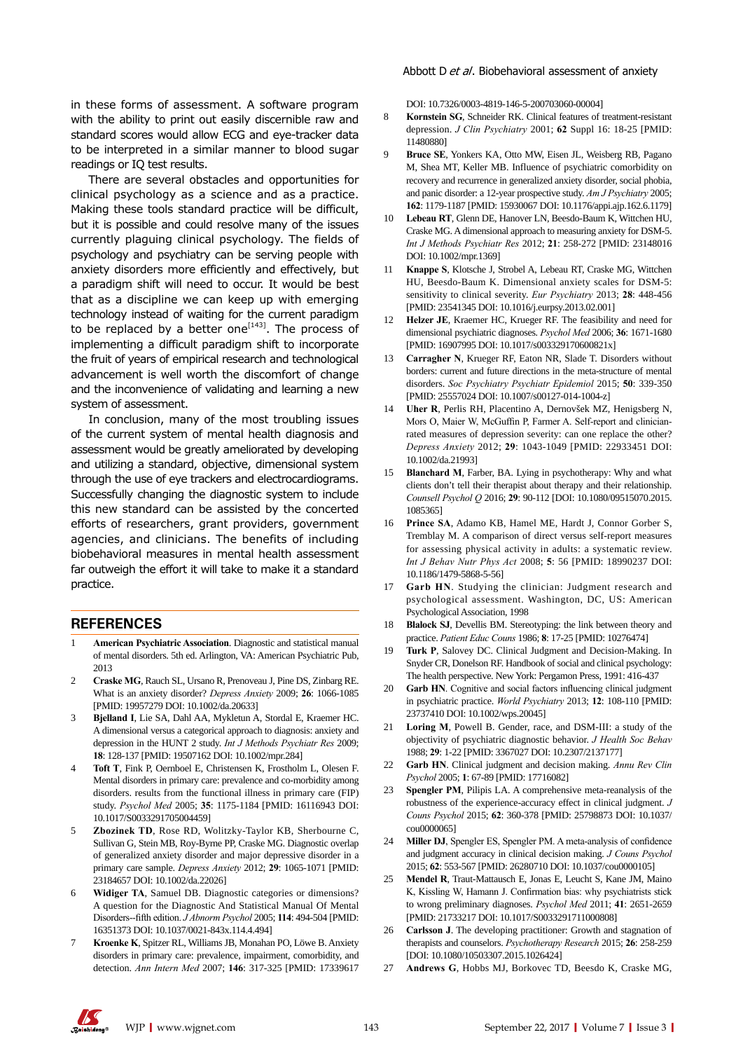in these forms of assessment. A software program with the ability to print out easily discernible raw and standard scores would allow ECG and eye-tracker data to be interpreted in a similar manner to blood sugar readings or IQ test results.

There are several obstacles and opportunities for clinical psychology as a science and as a practice. Making these tools standard practice will be difficult, but it is possible and could resolve many of the issues currently plaguing clinical psychology. The fields of psychology and psychiatry can be serving people with anxiety disorders more efficiently and effectively, but a paradigm shift will need to occur. It would be best that as a discipline we can keep up with emerging technology instead of waiting for the current paradigm to be replaced by a better one<sup>[143]</sup>. The process of implementing a difficult paradigm shift to incorporate the fruit of years of empirical research and technological advancement is well worth the discomfort of change and the inconvenience of validating and learning a new system of assessment.

In conclusion, many of the most troubling issues of the current system of mental health diagnosis and assessment would be greatly ameliorated by developing and utilizing a standard, objective, dimensional system through the use of eye trackers and electrocardiograms. Successfully changing the diagnostic system to include this new standard can be assisted by the concerted efforts of researchers, grant providers, government agencies, and clinicians. The benefits of including biobehavioral measures in mental health assessment far outweigh the effort it will take to make it a standard practice.

#### **REFERENCES**

- 1 **American Psychiatric Association**. Diagnostic and statistical manual of mental disorders. 5th ed. Arlington, VA: American Psychiatric Pub, 2013
- 2 **Craske MG**, Rauch SL, Ursano R, Prenoveau J, Pine DS, Zinbarg RE. What is an anxiety disorder? *Depress Anxiety* 2009; **26**: 1066-1085 [PMID: 19957279 DOI: 10.1002/da.20633]
- 3 **Bjelland I**, Lie SA, Dahl AA, Mykletun A, Stordal E, Kraemer HC. A dimensional versus a categorical approach to diagnosis: anxiety and depression in the HUNT 2 study. *Int J Methods Psychiatr Res* 2009; **18**: 128-137 [PMID: 19507162 DOI: 10.1002/mpr.284]
- 4 **Toft T**, Fink P, Oernboel E, Christensen K, Frostholm L, Olesen F. Mental disorders in primary care: prevalence and co-morbidity among disorders. results from the functional illness in primary care (FIP) study. *Psychol Med* 2005; **35**: 1175-1184 [PMID: 16116943 DOI: 10.1017/S0033291705004459]
- 5 **Zbozinek TD**, Rose RD, Wolitzky-Taylor KB, Sherbourne C, Sullivan G, Stein MB, Roy-Byrne PP, Craske MG. Diagnostic overlap of generalized anxiety disorder and major depressive disorder in a primary care sample. *Depress Anxiety* 2012; **29**: 1065-1071 [PMID: 23184657 DOI: 10.1002/da.22026]
- 6 **Widiger TA**, Samuel DB. Diagnostic categories or dimensions? A question for the Diagnostic And Statistical Manual Of Mental Disorders--fifth edition. *J Abnorm Psychol* 2005; **114**: 494-504 [PMID: 16351373 DOI: 10.1037/0021-843x.114.4.494]
- 7 **Kroenke K**, Spitzer RL, Williams JB, Monahan PO, Löwe B. Anxiety disorders in primary care: prevalence, impairment, comorbidity, and detection. *Ann Intern Med* 2007; **146**: 317-325 [PMID: 17339617

DOI: 10.7326/0003-4819-146-5-200703060-00004]

- 8 **Kornstein SG**, Schneider RK. Clinical features of treatment-resistant depression. *J Clin Psychiatry* 2001; **62** Suppl 16: 18-25 [PMID: 11480880]
- 9 **Bruce SE**, Yonkers KA, Otto MW, Eisen JL, Weisberg RB, Pagano M, Shea MT, Keller MB. Influence of psychiatric comorbidity on recovery and recurrence in generalized anxiety disorder, social phobia, and panic disorder: a 12-year prospective study. *Am J Psychiatry* 2005; **162**: 1179-1187 [PMID: 15930067 DOI: 10.1176/appi.ajp.162.6.1179]
- 10 **Lebeau RT**, Glenn DE, Hanover LN, Beesdo-Baum K, Wittchen HU, Craske MG. A dimensional approach to measuring anxiety for DSM-5. *Int J Methods Psychiatr Res* 2012; **21**: 258-272 [PMID: 23148016 DOI: 10.1002/mpr.1369]
- 11 **Knappe S**, Klotsche J, Strobel A, Lebeau RT, Craske MG, Wittchen HU, Beesdo-Baum K. Dimensional anxiety scales for DSM-5: sensitivity to clinical severity. *Eur Psychiatry* 2013; **28**: 448-456 [PMID: 23541345 DOI: 10.1016/j.eurpsy.2013.02.001]
- 12 **Helzer JE**, Kraemer HC, Krueger RF. The feasibility and need for dimensional psychiatric diagnoses. *Psychol Med* 2006; **36**: 1671-1680 [PMID: 16907995 DOI: 10.1017/s003329170600821x]
- 13 **Carragher N**, Krueger RF, Eaton NR, Slade T. Disorders without borders: current and future directions in the meta-structure of mental disorders. *Soc Psychiatry Psychiatr Epidemiol* 2015; **50**: 339-350 [PMID: 25557024 DOI: 10.1007/s00127-014-1004-z]
- 14 **Uher R**, Perlis RH, Placentino A, Dernovšek MZ, Henigsberg N, Mors O, Maier W, McGuffin P, Farmer A. Self-report and clinicianrated measures of depression severity: can one replace the other? *Depress Anxiety* 2012; **29**: 1043-1049 [PMID: 22933451 DOI: 10.1002/da.21993]
- **Blanchard M**, Farber, BA. Lying in psychotherapy: Why and what clients don't tell their therapist about therapy and their relationship. *Counsell Psychol Q* 2016; **29**: 90-112 [DOI: 10.1080/09515070.2015. 1085365]
- 16 **Prince SA**, Adamo KB, Hamel ME, Hardt J, Connor Gorber S, Tremblay M. A comparison of direct versus self-report measures for assessing physical activity in adults: a systematic review. *Int J Behav Nutr Phys Act* 2008; **5**: 56 [PMID: 18990237 DOI: 10.1186/1479-5868-5-56]
- 17 **Garb HN**. Studying the clinician: Judgment research and psychological assessment. Washington, DC, US: American Psychological Association, 1998
- 18 **Blalock SJ**, Devellis BM. Stereotyping: the link between theory and practice. *Patient Educ Couns* 1986; **8**: 17-25 [PMID: 10276474]
- 19 **Turk P**, Salovey DC. Clinical Judgment and Decision-Making. In Snyder CR, Donelson RF. Handbook of social and clinical psychology: The health perspective. New York: Pergamon Press, 1991: 416-437
- 20 **Garb HN**. Cognitive and social factors influencing clinical judgment in psychiatric practice. *World Psychiatry* 2013; **12**: 108-110 [PMID: 23737410 DOI: 10.1002/wps.20045]
- 21 **Loring M**, Powell B. Gender, race, and DSM-III: a study of the objectivity of psychiatric diagnostic behavior. *J Health Soc Behav* 1988; **29**: 1-22 [PMID: 3367027 DOI: 10.2307/2137177]
- 22 **Garb HN**. Clinical judgment and decision making. *Annu Rev Clin Psychol* 2005; **1**: 67-89 [PMID: 17716082]
- 23 **Spengler PM**, Pilipis LA. A comprehensive meta-reanalysis of the robustness of the experience-accuracy effect in clinical judgment. *J Couns Psychol* 2015; **62**: 360-378 [PMID: 25798873 DOI: 10.1037/ cou0000065]
- 24 **Miller DJ**, Spengler ES, Spengler PM. A meta-analysis of confidence and judgment accuracy in clinical decision making. *J Couns Psychol* 2015; **62**: 553-567 [PMID: 26280710 DOI: 10.1037/cou0000105]
- 25 **Mendel R**, Traut-Mattausch E, Jonas E, Leucht S, Kane JM, Maino K, Kissling W, Hamann J. Confirmation bias: why psychiatrists stick to wrong preliminary diagnoses. *Psychol Med* 2011; **41**: 2651-2659 [PMID: 21733217 DOI: 10.1017/S0033291711000808]
- 26 **Carlsson J**. The developing practitioner: Growth and stagnation of therapists and counselors. *Psychotherapy Research* 2015; **26**: 258-259 [DOI: 10.1080/10503307.2015.1026424]
- 27 **Andrews G**, Hobbs MJ, Borkovec TD, Beesdo K, Craske MG,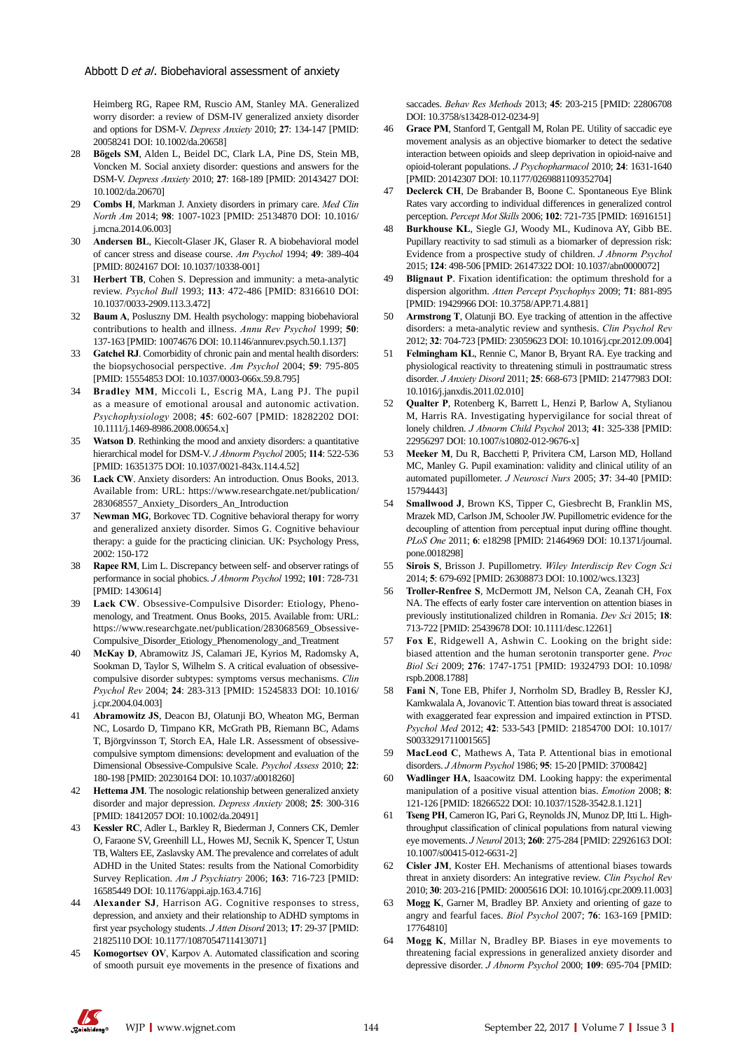Heimberg RG, Rapee RM, Ruscio AM, Stanley MA. Generalized worry disorder: a review of DSM-IV generalized anxiety disorder and options for DSM-V. *Depress Anxiety* 2010; **27**: 134-147 [PMID: 20058241 DOI: 10.1002/da.20658]

- 28 **Bögels SM**, Alden L, Beidel DC, Clark LA, Pine DS, Stein MB, Voncken M. Social anxiety disorder: questions and answers for the DSM-V. *Depress Anxiety* 2010; **27**: 168-189 [PMID: 20143427 DOI: 10.1002/da.20670]
- 29 **Combs H**, Markman J. Anxiety disorders in primary care. *Med Clin North Am* 2014; **98**: 1007-1023 [PMID: 25134870 DOI: 10.1016/ j.mcna.2014.06.003]
- 30 **Andersen BL**, Kiecolt-Glaser JK, Glaser R. A biobehavioral model of cancer stress and disease course. *Am Psychol* 1994; **49**: 389-404 [PMID: 8024167 DOI: 10.1037/10338-001]
- 31 **Herbert TB**, Cohen S. Depression and immunity: a meta-analytic review. *Psychol Bull* 1993; **113**: 472-486 [PMID: 8316610 DOI: 10.1037/0033-2909.113.3.472]
- 32 **Baum A**, Posluszny DM. Health psychology: mapping biobehavioral contributions to health and illness. *Annu Rev Psychol* 1999; **50**: 137-163 [PMID: 10074676 DOI: 10.1146/annurev.psych.50.1.137]
- 33 **Gatchel RJ**. Comorbidity of chronic pain and mental health disorders: the biopsychosocial perspective. *Am Psychol* 2004; **59**: 795-805 [PMID: 15554853 DOI: 10.1037/0003-066x.59.8.795]
- 34 **Bradley MM**, Miccoli L, Escrig MA, Lang PJ. The pupil as a measure of emotional arousal and autonomic activation. *Psychophysiology* 2008; **45**: 602-607 [PMID: 18282202 DOI: 10.1111/j.1469-8986.2008.00654.x]
- Watson D. Rethinking the mood and anxiety disorders: a quantitative hierarchical model for DSM-V. *J Abnorm Psychol* 2005; **114**: 522-536 [PMID: 16351375 DOI: 10.1037/0021-843x.114.4.52]
- 36 **Lack CW**. Anxiety disorders: An introduction. Onus Books, 2013. Available from: URL: https://www.researchgate.net/publication/ 283068557\_Anxiety\_Disorders\_An\_Introduction
- 37 **Newman MG**, Borkovec TD. Cognitive behavioral therapy for worry and generalized anxiety disorder. Simos G. Cognitive behaviour therapy: a guide for the practicing clinician. UK: Psychology Press, 2002: 150-172
- 38 **Rapee RM**, Lim L. Discrepancy between self- and observer ratings of performance in social phobics. *J Abnorm Psychol* 1992; **101**: 728-731 [PMID: 1430614]
- 39 **Lack CW**. Obsessive-Compulsive Disorder: Etiology, Phenomenology, and Treatment. Onus Books, 2015. Available from: URL: https://www.researchgate.net/publication/283068569\_Obsessive-Compulsive\_Disorder\_Etiology\_Phenomenology\_and\_Treatment
- 40 **McKay D**, Abramowitz JS, Calamari JE, Kyrios M, Radomsky A, Sookman D, Taylor S, Wilhelm S. A critical evaluation of obsessivecompulsive disorder subtypes: symptoms versus mechanisms. *Clin Psychol Rev* 2004; **24**: 283-313 [PMID: 15245833 DOI: 10.1016/ j.cpr.2004.04.003]
- 41 **Abramowitz JS**, Deacon BJ, Olatunji BO, Wheaton MG, Berman NC, Losardo D, Timpano KR, McGrath PB, Riemann BC, Adams T, Björgvinsson T, Storch EA, Hale LR. Assessment of obsessivecompulsive symptom dimensions: development and evaluation of the Dimensional Obsessive-Compulsive Scale. *Psychol Assess* 2010; **22**: 180-198 [PMID: 20230164 DOI: 10.1037/a0018260]
- Hettema JM. The nosologic relationship between generalized anxiety disorder and major depression. *Depress Anxiety* 2008; **25**: 300-316 [PMID: 18412057 DOI: 10.1002/da.20491]
- 43 **Kessler RC**, Adler L, Barkley R, Biederman J, Conners CK, Demler O, Faraone SV, Greenhill LL, Howes MJ, Secnik K, Spencer T, Ustun TB, Walters EE, Zaslavsky AM. The prevalence and correlates of adult ADHD in the United States: results from the National Comorbidity Survey Replication. *Am J Psychiatry* 2006; **163**: 716-723 [PMID: 16585449 DOI: 10.1176/appi.ajp.163.4.716]
- Alexander SJ, Harrison AG. Cognitive responses to stress, depression, and anxiety and their relationship to ADHD symptoms in first year psychology students. *J Atten Disord* 2013; **17**: 29-37 [PMID: 21825110 DOI: 10.1177/1087054711413071]
- 45 **Komogortsev OV**, Karpov A. Automated classification and scoring of smooth pursuit eye movements in the presence of fixations and

saccades. *Behav Res Methods* 2013; **45**: 203-215 [PMID: 22806708 DOI: 10.3758/s13428-012-0234-9]

- 46 **Grace PM**, Stanford T, Gentgall M, Rolan PE. Utility of saccadic eye movement analysis as an objective biomarker to detect the sedative interaction between opioids and sleep deprivation in opioid-naive and opioid-tolerant populations. *J Psychopharmacol* 2010; **24**: 1631-1640 [PMID: 20142307 DOI: 10.1177/0269881109352704]
- 47 **Declerck CH**, De Brabander B, Boone C. Spontaneous Eye Blink Rates vary according to individual differences in generalized control perception. *Percept Mot Skills* 2006; **102**: 721-735 [PMID: 16916151]
- 48 **Burkhouse KL**, Siegle GJ, Woody ML, Kudinova AY, Gibb BE. Pupillary reactivity to sad stimuli as a biomarker of depression risk: Evidence from a prospective study of children. *J Abnorm Psychol* 2015; **124**: 498-506 [PMID: 26147322 DOI: 10.1037/abn0000072]
- 49 **Blignaut P**. Fixation identification: the optimum threshold for a dispersion algorithm. *Atten Percept Psychophys* 2009; **71**: 881-895 [PMID: 19429966 DOI: 10.3758/APP.71.4.881]
- 50 **Armstrong T**, Olatunji BO. Eye tracking of attention in the affective disorders: a meta-analytic review and synthesis. *Clin Psychol Rev* 2012; **32**: 704-723 [PMID: 23059623 DOI: 10.1016/j.cpr.2012.09.004]
- 51 **Felmingham KL**, Rennie C, Manor B, Bryant RA. Eye tracking and physiological reactivity to threatening stimuli in posttraumatic stress disorder. *J Anxiety Disord* 2011; **25**: 668-673 [PMID: 21477983 DOI: 10.1016/j.janxdis.2011.02.010]
- 52 **Qualter P**, Rotenberg K, Barrett L, Henzi P, Barlow A, Stylianou M, Harris RA. Investigating hypervigilance for social threat of lonely children. *J Abnorm Child Psychol* 2013; **41**: 325-338 [PMID: 22956297 DOI: 10.1007/s10802-012-9676-x]
- 53 **Meeker M**, Du R, Bacchetti P, Privitera CM, Larson MD, Holland MC, Manley G. Pupil examination: validity and clinical utility of an automated pupillometer. *J Neurosci Nurs* 2005; **37**: 34-40 [PMID: 15794443]
- 54 **Smallwood J**, Brown KS, Tipper C, Giesbrecht B, Franklin MS, Mrazek MD, Carlson JM, Schooler JW. Pupillometric evidence for the decoupling of attention from perceptual input during offline thought. *PLoS One* 2011; **6**: e18298 [PMID: 21464969 DOI: 10.1371/journal. pone.0018298]
- 55 **Sirois S**, Brisson J. Pupillometry. *Wiley Interdiscip Rev Cogn Sci* 2014; **5**: 679-692 [PMID: 26308873 DOI: 10.1002/wcs.1323]
- 56 **Troller-Renfree S**, McDermott JM, Nelson CA, Zeanah CH, Fox NA. The effects of early foster care intervention on attention biases in previously institutionalized children in Romania. *Dev Sci* 2015; **18**: 713-722 [PMID: 25439678 DOI: 10.1111/desc.12261]
- 57 **Fox E**, Ridgewell A, Ashwin C. Looking on the bright side: biased attention and the human serotonin transporter gene. *Proc Biol Sci* 2009; **276**: 1747-1751 [PMID: 19324793 DOI: 10.1098/ rspb.2008.1788]
- 58 **Fani N**, Tone EB, Phifer J, Norrholm SD, Bradley B, Ressler KJ, Kamkwalala A, Jovanovic T. Attention bias toward threat is associated with exaggerated fear expression and impaired extinction in PTSD. *Psychol Med* 2012; **42**: 533-543 [PMID: 21854700 DOI: 10.1017/ S0033291711001565]
- 59 **MacLeod C**, Mathews A, Tata P. Attentional bias in emotional disorders. *J Abnorm Psychol* 1986; **95**: 15-20 [PMID: 3700842]
- 60 **Wadlinger HA**, Isaacowitz DM. Looking happy: the experimental manipulation of a positive visual attention bias. *Emotion* 2008; **8**: 121-126 [PMID: 18266522 DOI: 10.1037/1528-3542.8.1.121]
- 61 **Tseng PH**, Cameron IG, Pari G, Reynolds JN, Munoz DP, Itti L. Highthroughput classification of clinical populations from natural viewing eye movements. *J Neurol* 2013; **260**: 275-284 [PMID: 22926163 DOI: 10.1007/s00415-012-6631-2]
- Cisler JM, Koster EH. Mechanisms of attentional biases towards threat in anxiety disorders: An integrative review. *Clin Psychol Rev* 2010; **30**: 203-216 [PMID: 20005616 DOI: 10.1016/j.cpr.2009.11.003]
- Mogg K, Garner M, Bradley BP. Anxiety and orienting of gaze to angry and fearful faces. *Biol Psychol* 2007; **76**: 163-169 [PMID: 17764810]
- 64 **Mogg K**, Millar N, Bradley BP. Biases in eye movements to threatening facial expressions in generalized anxiety disorder and depressive disorder. *J Abnorm Psychol* 2000; **109**: 695-704 [PMID: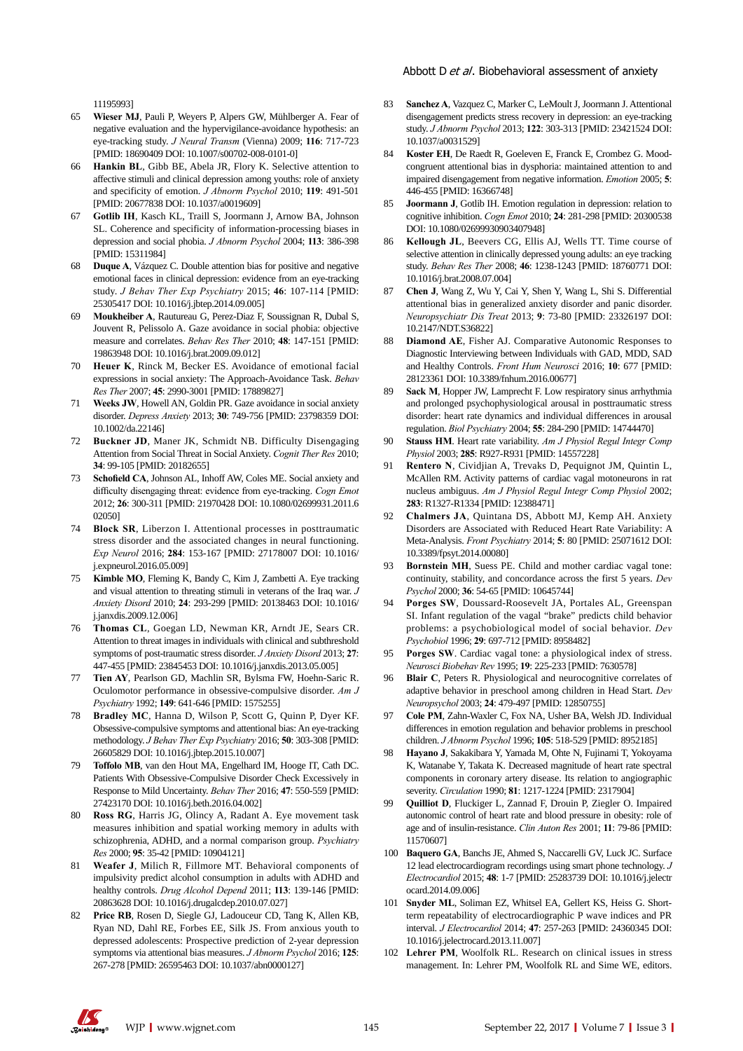#### Abbott D et al. Biobehavioral assessment of anxiety

11195993]

- 65 **Wieser MJ**, Pauli P, Weyers P, Alpers GW, Mühlberger A. Fear of negative evaluation and the hypervigilance-avoidance hypothesis: an eye-tracking study. *J Neural Transm* (Vienna) 2009; **116**: 717-723 [PMID: 18690409 DOI: 10.1007/s00702-008-0101-0]
- 66 **Hankin BL**, Gibb BE, Abela JR, Flory K. Selective attention to affective stimuli and clinical depression among youths: role of anxiety and specificity of emotion. *J Abnorm Psychol* 2010; **119**: 491-501 [PMID: 20677838 DOI: 10.1037/a0019609]
- 67 **Gotlib IH**, Kasch KL, Traill S, Joormann J, Arnow BA, Johnson SL. Coherence and specificity of information-processing biases in depression and social phobia. *J Abnorm Psychol* 2004; **113**: 386-398 [PMID: 15311984]
- 68 **Duque A**, Vázquez C. Double attention bias for positive and negative emotional faces in clinical depression: evidence from an eye-tracking study. *J Behav Ther Exp Psychiatry* 2015; **46**: 107-114 [PMID: 25305417 DOI: 10.1016/j.jbtep.2014.09.005]
- 69 **Moukheiber A**, Rautureau G, Perez-Diaz F, Soussignan R, Dubal S, Jouvent R, Pelissolo A. Gaze avoidance in social phobia: objective measure and correlates. *Behav Res Ther* 2010; **48**: 147-151 [PMID: 19863948 DOI: 10.1016/j.brat.2009.09.012]
- 70 **Heuer K**, Rinck M, Becker ES. Avoidance of emotional facial expressions in social anxiety: The Approach-Avoidance Task. *Behav Res Ther* 2007; **45**: 2990-3001 [PMID: 17889827]
- 71 **Weeks JW**, Howell AN, Goldin PR. Gaze avoidance in social anxiety disorder. *Depress Anxiety* 2013; **30**: 749-756 [PMID: 23798359 DOI: 10.1002/da.22146]
- 72 **Buckner JD**, Maner JK, Schmidt NB. Difficulty Disengaging Attention from Social Threat in Social Anxiety. *Cognit Ther Res* 2010; **34**: 99-105 [PMID: 20182655]
- 73 **Schofield CA**, Johnson AL, Inhoff AW, Coles ME. Social anxiety and difficulty disengaging threat: evidence from eye-tracking. *Cogn Emot* 2012; **26**: 300-311 [PMID: 21970428 DOI: 10.1080/02699931.2011.6 02050]
- 74 **Block SR**, Liberzon I. Attentional processes in posttraumatic stress disorder and the associated changes in neural functioning. *Exp Neurol* 2016; **284**: 153-167 [PMID: 27178007 DOI: 10.1016/ j.expneurol.2016.05.009]
- 75 **Kimble MO**, Fleming K, Bandy C, Kim J, Zambetti A. Eye tracking and visual attention to threating stimuli in veterans of the Iraq war. *J Anxiety Disord* 2010; **24**: 293-299 [PMID: 20138463 DOI: 10.1016/ j.janxdis.2009.12.006]
- 76 **Thomas CL**, Goegan LD, Newman KR, Arndt JE, Sears CR. Attention to threat images in individuals with clinical and subthreshold symptoms of post-traumatic stress disorder. *J Anxiety Disord* 2013; **27**: 447-455 [PMID: 23845453 DOI: 10.1016/j.janxdis.2013.05.005]
- 77 **Tien AY**, Pearlson GD, Machlin SR, Bylsma FW, Hoehn-Saric R. Oculomotor performance in obsessive-compulsive disorder. *Am J Psychiatry* 1992; **149**: 641-646 [PMID: 1575255]
- 78 **Bradley MC**, Hanna D, Wilson P, Scott G, Quinn P, Dyer KF. Obsessive-compulsive symptoms and attentional bias: An eye-tracking methodology. *J Behav Ther Exp Psychiatry* 2016; **50**: 303-308 [PMID: 26605829 DOI: 10.1016/j.jbtep.2015.10.007]
- 79 **Toffolo MB**, van den Hout MA, Engelhard IM, Hooge IT, Cath DC. Patients With Obsessive-Compulsive Disorder Check Excessively in Response to Mild Uncertainty. *Behav Ther* 2016; **47**: 550-559 [PMID: 27423170 DOI: 10.1016/j.beth.2016.04.002]
- 80 **Ross RG**, Harris JG, Olincy A, Radant A. Eye movement task measures inhibition and spatial working memory in adults with schizophrenia, ADHD, and a normal comparison group. *Psychiatry Res* 2000; **95**: 35-42 [PMID: 10904121]
- 81 **Weafer J**, Milich R, Fillmore MT. Behavioral components of impulsivity predict alcohol consumption in adults with ADHD and healthy controls. *Drug Alcohol Depend* 2011; **113**: 139-146 [PMID: 20863628 DOI: 10.1016/j.drugalcdep.2010.07.027]
- 82 **Price RB**, Rosen D, Siegle GJ, Ladouceur CD, Tang K, Allen KB, Ryan ND, Dahl RE, Forbes EE, Silk JS. From anxious youth to depressed adolescents: Prospective prediction of 2-year depression symptoms via attentional bias measures. *J Abnorm Psychol* 2016; **125**: 267-278 [PMID: 26595463 DOI: 10.1037/abn0000127]
- 83 **Sanchez A**, Vazquez C, Marker C, LeMoult J, Joormann J. Attentional disengagement predicts stress recovery in depression: an eye-tracking study. *J Abnorm Psychol* 2013; **122**: 303-313 [PMID: 23421524 DOI: 10.1037/a0031529]
- 84 **Koster EH**, De Raedt R, Goeleven E, Franck E, Crombez G. Moodcongruent attentional bias in dysphoria: maintained attention to and impaired disengagement from negative information. *Emotion* 2005; **5**: 446-455 [PMID: 16366748]
- 85 **Joormann J**, Gotlib IH. Emotion regulation in depression: relation to cognitive inhibition. *Cogn Emot* 2010; **24**: 281-298 [PMID: 20300538 DOI: 10.1080/02699930903407948]
- 86 **Kellough JL**, Beevers CG, Ellis AJ, Wells TT. Time course of selective attention in clinically depressed young adults: an eye tracking study. *Behav Res Ther* 2008; **46**: 1238-1243 [PMID: 18760771 DOI: 10.1016/j.brat.2008.07.004]
- 87 **Chen J**, Wang Z, Wu Y, Cai Y, Shen Y, Wang L, Shi S. Differential attentional bias in generalized anxiety disorder and panic disorder. *Neuropsychiatr Dis Treat* 2013; **9**: 73-80 [PMID: 23326197 DOI: 10.2147/NDT.S36822]
- 88 **Diamond AE**, Fisher AJ. Comparative Autonomic Responses to Diagnostic Interviewing between Individuals with GAD, MDD, SAD and Healthy Controls. *Front Hum Neurosci* 2016; **10**: 677 [PMID: 28123361 DOI: 10.3389/fnhum.2016.00677]
- 89 **Sack M**, Hopper JW, Lamprecht F. Low respiratory sinus arrhythmia and prolonged psychophysiological arousal in posttraumatic stress disorder: heart rate dynamics and individual differences in arousal regulation. *Biol Psychiatry* 2004; **55**: 284-290 [PMID: 14744470]
- 90 **Stauss HM**. Heart rate variability. *Am J Physiol Regul Integr Comp Physiol* 2003; **285**: R927-R931 [PMID: 14557228]
- 91 **Rentero N**, Cividjian A, Trevaks D, Pequignot JM, Quintin L, McAllen RM. Activity patterns of cardiac vagal motoneurons in rat nucleus ambiguus. *Am J Physiol Regul Integr Comp Physiol* 2002; **283**: R1327-R1334 [PMID: 12388471]
- 92 **Chalmers JA**, Quintana DS, Abbott MJ, Kemp AH. Anxiety Disorders are Associated with Reduced Heart Rate Variability: A Meta-Analysis. *Front Psychiatry* 2014; **5**: 80 [PMID: 25071612 DOI: 10.3389/fpsyt.2014.00080]
- 93 **Bornstein MH**, Suess PE. Child and mother cardiac vagal tone: continuity, stability, and concordance across the first 5 years. *Dev Psychol* 2000; **36**: 54-65 [PMID: 10645744]
- 94 **Porges SW**, Doussard-Roosevelt JA, Portales AL, Greenspan SI. Infant regulation of the vagal "brake" predicts child behavior problems: a psychobiological model of social behavior. *Dev Psychobiol* 1996; **29**: 697-712 [PMID: 8958482]
- 95 **Porges SW**. Cardiac vagal tone: a physiological index of stress. *Neurosci Biobehav Rev* 1995; **19**: 225-233 [PMID: 7630578]
- 96 **Blair C**, Peters R. Physiological and neurocognitive correlates of adaptive behavior in preschool among children in Head Start. *Dev Neuropsychol* 2003; **24**: 479-497 [PMID: 12850755]
- 97 **Cole PM**, Zahn-Waxler C, Fox NA, Usher BA, Welsh JD. Individual differences in emotion regulation and behavior problems in preschool children. *J Abnorm Psychol* 1996; **105**: 518-529 [PMID: 8952185]
- 98 **Hayano J**, Sakakibara Y, Yamada M, Ohte N, Fujinami T, Yokoyama K, Watanabe Y, Takata K. Decreased magnitude of heart rate spectral components in coronary artery disease. Its relation to angiographic severity. *Circulation* 1990; **81**: 1217-1224 [PMID: 2317904]
- 99 **Quilliot D**, Fluckiger L, Zannad F, Drouin P, Ziegler O. Impaired autonomic control of heart rate and blood pressure in obesity: role of age and of insulin-resistance. *Clin Auton Res* 2001; **11**: 79-86 [PMID: 11570607]
- 100 **Baquero GA**, Banchs JE, Ahmed S, Naccarelli GV, Luck JC. Surface 12 lead electrocardiogram recordings using smart phone technology. *J Electrocardiol* 2015; **48**: 1-7 [PMID: 25283739 DOI: 10.1016/j.jelectr ocard.2014.09.006]
- 101 **Snyder ML**, Soliman EZ, Whitsel EA, Gellert KS, Heiss G. Shortterm repeatability of electrocardiographic P wave indices and PR interval. *J Electrocardiol* 2014; **47**: 257-263 [PMID: 24360345 DOI: 10.1016/j.jelectrocard.2013.11.007]
- 102 **Lehrer PM**, Woolfolk RL. Research on clinical issues in stress management. In: Lehrer PM, Woolfolk RL and Sime WE, editors.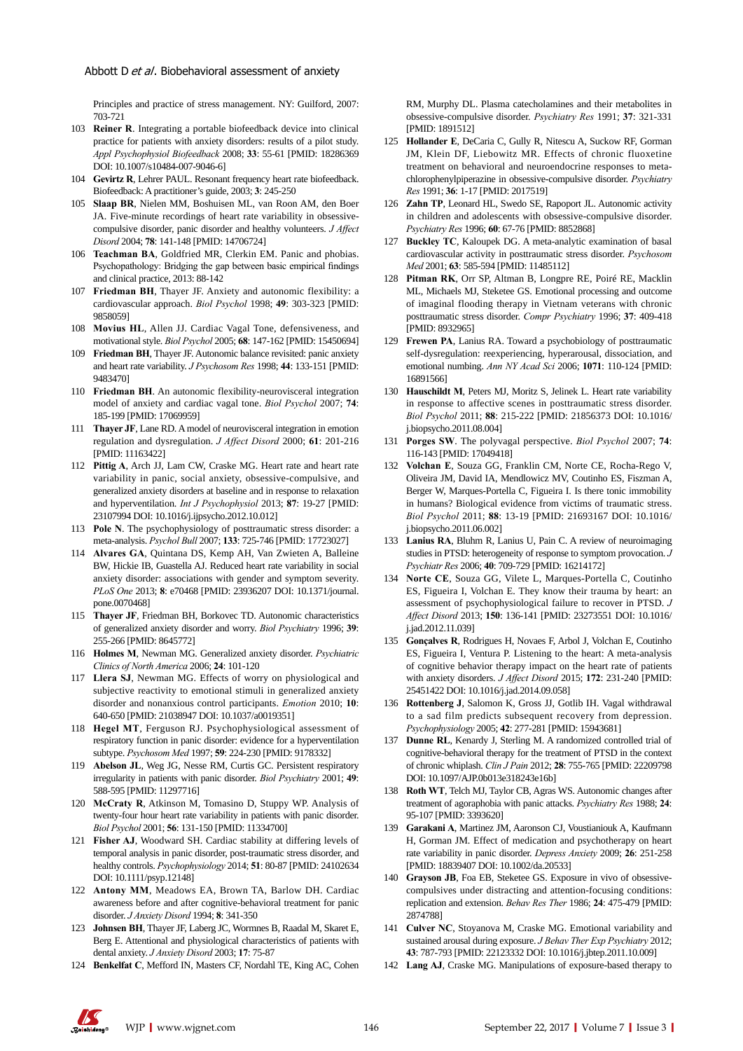Principles and practice of stress management. NY: Guilford, 2007: 703-721

- 103 **Reiner R**. Integrating a portable biofeedback device into clinical practice for patients with anxiety disorders: results of a pilot study. *Appl Psychophysiol Biofeedback* 2008; **33**: 55-61 [PMID: 18286369 DOI: 10.1007/s10484-007-9046-6]
- 104 **Gevirtz R**, Lehrer PAUL. Resonant frequency heart rate biofeedback. Biofeedback: A practitioner's guide, 2003; **3**: 245-250
- 105 **Slaap BR**, Nielen MM, Boshuisen ML, van Roon AM, den Boer JA. Five-minute recordings of heart rate variability in obsessivecompulsive disorder, panic disorder and healthy volunteers. *J Affect Disord* 2004; **78**: 141-148 [PMID: 14706724]
- 106 **Teachman BA**, Goldfried MR, Clerkin EM. Panic and phobias. Psychopathology: Bridging the gap between basic empirical findings and clinical practice, 2013: 88-142
- 107 **Friedman BH**, Thayer JF. Anxiety and autonomic flexibility: a cardiovascular approach. *Biol Psychol* 1998; **49**: 303-323 [PMID: 9858059]
- 108 **Movius HL**, Allen JJ. Cardiac Vagal Tone, defensiveness, and motivational style. *Biol Psychol* 2005; **68**: 147-162 [PMID: 15450694]
- 109 **Friedman BH**, Thayer JF. Autonomic balance revisited: panic anxiety and heart rate variability. *J Psychosom Res* 1998; **44**: 133-151 [PMID: 9483470]
- 110 **Friedman BH**. An autonomic flexibility-neurovisceral integration model of anxiety and cardiac vagal tone. *Biol Psychol* 2007; **74**: 185-199 [PMID: 17069959]
- 111 **Thayer JF**, Lane RD. A model of neurovisceral integration in emotion regulation and dysregulation. *J Affect Disord* 2000; **61**: 201-216 [PMID: 11163422]
- 112 **Pittig A**, Arch JJ, Lam CW, Craske MG. Heart rate and heart rate variability in panic, social anxiety, obsessive-compulsive, and generalized anxiety disorders at baseline and in response to relaxation and hyperventilation. *Int J Psychophysiol* 2013; **87**: 19-27 [PMID: 23107994 DOI: 10.1016/j.ijpsycho.2012.10.012]
- 113 **Pole N**. The psychophysiology of posttraumatic stress disorder: a meta-analysis. *Psychol Bull* 2007; **133**: 725-746 [PMID: 17723027]
- 114 **Alvares GA**, Quintana DS, Kemp AH, Van Zwieten A, Balleine BW, Hickie IB, Guastella AJ. Reduced heart rate variability in social anxiety disorder: associations with gender and symptom severity. *PLoS One* 2013; **8**: e70468 [PMID: 23936207 DOI: 10.1371/journal. pone.0070468]
- 115 **Thayer JF**, Friedman BH, Borkovec TD. Autonomic characteristics of generalized anxiety disorder and worry. *Biol Psychiatry* 1996; **39**: 255-266 [PMID: 8645772]
- 116 **Holmes M**, Newman MG. Generalized anxiety disorder. *Psychiatric Clinics of North America* 2006; **24**: 101-120
- 117 **Llera SJ**, Newman MG. Effects of worry on physiological and subjective reactivity to emotional stimuli in generalized anxiety disorder and nonanxious control participants. *Emotion* 2010; **10**: 640-650 [PMID: 21038947 DOI: 10.1037/a0019351]
- 118 **Hegel MT**, Ferguson RJ. Psychophysiological assessment of respiratory function in panic disorder: evidence for a hyperventilation subtype. *Psychosom Med* 1997; **59**: 224-230 [PMID: 9178332]
- 119 **Abelson JL**, Weg JG, Nesse RM, Curtis GC. Persistent respiratory irregularity in patients with panic disorder. *Biol Psychiatry* 2001; **49**: 588-595 [PMID: 11297716]
- 120 **McCraty R**, Atkinson M, Tomasino D, Stuppy WP. Analysis of twenty-four hour heart rate variability in patients with panic disorder. *Biol Psychol* 2001; **56**: 131-150 [PMID: 11334700]
- 121 **Fisher AJ**, Woodward SH. Cardiac stability at differing levels of temporal analysis in panic disorder, post-traumatic stress disorder, and healthy controls. *Psychophysiology* 2014; **51**: 80-87 [PMID: 24102634 DOI: 10.1111/psyp.12148]
- 122 **Antony MM**, Meadows EA, Brown TA, Barlow DH. Cardiac awareness before and after cognitive-behavioral treatment for panic disorder. *J Anxiety Disord* 1994; **8**: 341-350
- 123 **Johnsen BH**, Thayer JF, Laberg JC, Wormnes B, Raadal M, Skaret E, Berg E. Attentional and physiological characteristics of patients with dental anxiety. *J Anxiety Disord* 2003; **17**: 75-87
- 124 **Benkelfat C**, Mefford IN, Masters CF, Nordahl TE, King AC, Cohen

RM, Murphy DL. Plasma catecholamines and their metabolites in obsessive-compulsive disorder. *Psychiatry Res* 1991; **37**: 321-331 [PMID: 1891512]

- 125 **Hollander E**, DeCaria C, Gully R, Nitescu A, Suckow RF, Gorman JM, Klein DF, Liebowitz MR. Effects of chronic fluoxetine treatment on behavioral and neuroendocrine responses to metachlorophenylpiperazine in obsessive-compulsive disorder. *Psychiatry Res* 1991; **36**: 1-17 [PMID: 2017519]
- 126 **Zahn TP**, Leonard HL, Swedo SE, Rapoport JL. Autonomic activity in children and adolescents with obsessive-compulsive disorder. *Psychiatry Res* 1996; **60**: 67-76 [PMID: 8852868]
- 127 **Buckley TC**, Kaloupek DG. A meta-analytic examination of basal cardiovascular activity in posttraumatic stress disorder. *Psychosom Med* 2001; **63**: 585-594 [PMID: 11485112]
- 128 **Pitman RK**, Orr SP, Altman B, Longpre RE, Poiré RE, Macklin ML, Michaels MJ, Steketee GS. Emotional processing and outcome of imaginal flooding therapy in Vietnam veterans with chronic posttraumatic stress disorder. *Compr Psychiatry* 1996; **37**: 409-418 [PMID: 8932965]
- 129 **Frewen PA**, Lanius RA. Toward a psychobiology of posttraumatic self-dysregulation: reexperiencing, hyperarousal, dissociation, and emotional numbing. *Ann NY Acad Sci* 2006; **1071**: 110-124 [PMID: 16891566]
- 130 **Hauschildt M**, Peters MJ, Moritz S, Jelinek L. Heart rate variability in response to affective scenes in posttraumatic stress disorder. *Biol Psychol* 2011; **88**: 215-222 [PMID: 21856373 DOI: 10.1016/ j.biopsycho.2011.08.004]
- 131 **Porges SW**. The polyvagal perspective. *Biol Psychol* 2007; **74**: 116-143 [PMID: 17049418]
- 132 **Volchan E**, Souza GG, Franklin CM, Norte CE, Rocha-Rego V, Oliveira JM, David IA, Mendlowicz MV, Coutinho ES, Fiszman A, Berger W, Marques-Portella C, Figueira I. Is there tonic immobility in humans? Biological evidence from victims of traumatic stress. *Biol Psychol* 2011; **88**: 13-19 [PMID: 21693167 DOI: 10.1016/ j.biopsycho.2011.06.002]
- 133 **Lanius RA**, Bluhm R, Lanius U, Pain C. A review of neuroimaging studies in PTSD: heterogeneity of response to symptom provocation. *J Psychiatr Res* 2006; **40**: 709-729 [PMID: 16214172]
- 134 **Norte CE**, Souza GG, Vilete L, Marques-Portella C, Coutinho ES, Figueira I, Volchan E. They know their trauma by heart: an assessment of psychophysiological failure to recover in PTSD. *J Affect Disord* 2013; **150**: 136-141 [PMID: 23273551 DOI: 10.1016/ j.jad.2012.11.039]
- 135 **Gonçalves R**, Rodrigues H, Novaes F, Arbol J, Volchan E, Coutinho ES, Figueira I, Ventura P. Listening to the heart: A meta-analysis of cognitive behavior therapy impact on the heart rate of patients with anxiety disorders. *J Affect Disord* 2015; **172**: 231-240 [PMID: 25451422 DOI: 10.1016/j.jad.2014.09.058]
- 136 **Rottenberg J**, Salomon K, Gross JJ, Gotlib IH. Vagal withdrawal to a sad film predicts subsequent recovery from depression. *Psychophysiology* 2005; **42**: 277-281 [PMID: 15943681]
- 137 **Dunne RL**, Kenardy J, Sterling M. A randomized controlled trial of cognitive-behavioral therapy for the treatment of PTSD in the context of chronic whiplash. *Clin J Pain* 2012; **28**: 755-765 [PMID: 22209798 DOI: 10.1097/AJP.0b013e318243e16b]
- 138 **Roth WT**, Telch MJ, Taylor CB, Agras WS. Autonomic changes after treatment of agoraphobia with panic attacks. *Psychiatry Res* 1988; **24**: 95-107 [PMID: 3393620]
- 139 **Garakani A**, Martinez JM, Aaronson CJ, Voustianiouk A, Kaufmann H, Gorman JM. Effect of medication and psychotherapy on heart rate variability in panic disorder. *Depress Anxiety* 2009; **26**: 251-258 [PMID: 18839407 DOI: 10.1002/da.20533]
- 140 **Grayson JB**, Foa EB, Steketee GS. Exposure in vivo of obsessivecompulsives under distracting and attention-focusing conditions: replication and extension. *Behav Res Ther* 1986; **24**: 475-479 [PMID: 2874788]
- 141 **Culver NC**, Stoyanova M, Craske MG. Emotional variability and sustained arousal during exposure. *J Behav Ther Exp Psychiatry* 2012; **43**: 787-793 [PMID: 22123332 DOI: 10.1016/j.jbtep.2011.10.009]
- 142 **Lang AJ**, Craske MG. Manipulations of exposure-based therapy to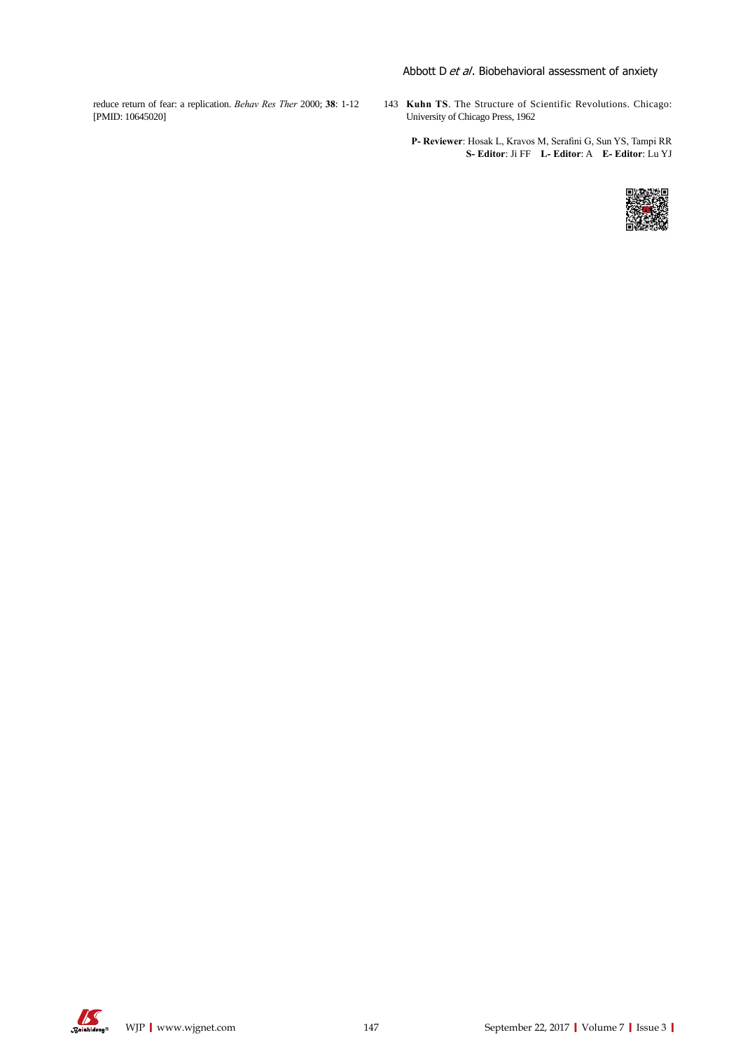## Abbott D et al. Biobehavioral assessment of anxiety

reduce return of fear: a replication. *Behav Res Ther* 2000; **38**: 1-12 [PMID: 10645020]

143 **Kuhn TS**. The Structure of Scientific Revolutions. Chicago: University of Chicago Press, 1962

**P- Reviewer**: Hosak L, Kravos M, Serafini G, Sun YS, Tampi RR **S- Editor**: Ji FF **L- Editor**: A **E- Editor**: Lu YJ